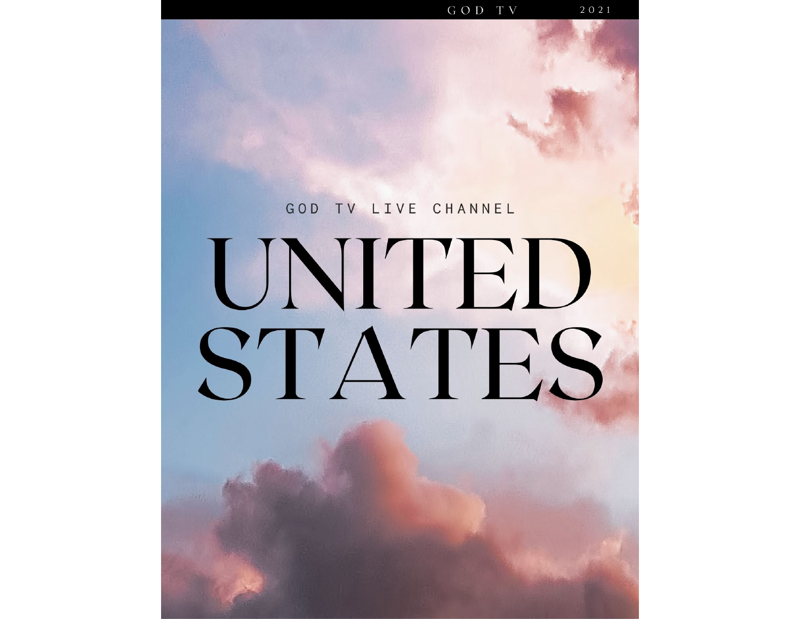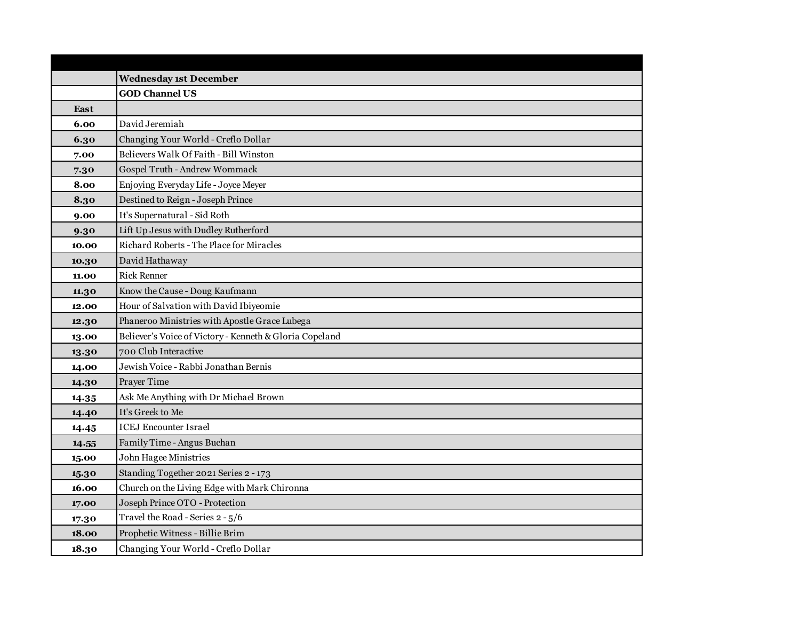|             | <b>Wednesday 1st December</b>                           |
|-------------|---------------------------------------------------------|
|             | <b>GOD Channel US</b>                                   |
| <b>East</b> |                                                         |
| 6.00        | David Jeremiah                                          |
| 6.30        | Changing Your World - Creflo Dollar                     |
| 7.00        | Believers Walk Of Faith - Bill Winston                  |
| 7.30        | Gospel Truth - Andrew Wommack                           |
| 8.00        | Enjoying Everyday Life - Joyce Meyer                    |
| 8.30        | Destined to Reign - Joseph Prince                       |
| 9.00        | It's Supernatural - Sid Roth                            |
| 9.30        | Lift Up Jesus with Dudley Rutherford                    |
| 10.00       | Richard Roberts - The Place for Miracles                |
| 10.30       | David Hathaway                                          |
| 11.00       | <b>Rick Renner</b>                                      |
| 11.30       | Know the Cause - Doug Kaufmann                          |
| 12.00       | Hour of Salvation with David Ibiyeomie                  |
| 12.30       | Phaneroo Ministries with Apostle Grace Lubega           |
| 13.00       | Believer's Voice of Victory - Kenneth & Gloria Copeland |
| 13.30       | 700 Club Interactive                                    |
| 14.00       | Jewish Voice - Rabbi Jonathan Bernis                    |
| 14.30       | Prayer Time                                             |
| 14.35       | Ask Me Anything with Dr Michael Brown                   |
| 14.40       | It's Greek to Me                                        |
| 14.45       | <b>ICEJ Encounter Israel</b>                            |
| 14.55       | Family Time - Angus Buchan                              |
| 15.00       | John Hagee Ministries                                   |
| 15.30       | Standing Together 2021 Series 2 - 173                   |
| 16.00       | Church on the Living Edge with Mark Chironna            |
| 17.00       | Joseph Prince OTO - Protection                          |
| 17.30       | Travel the Road - Series 2 - 5/6                        |
| 18.00       | Prophetic Witness - Billie Brim                         |
| 18.30       | Changing Your World - Creflo Dollar                     |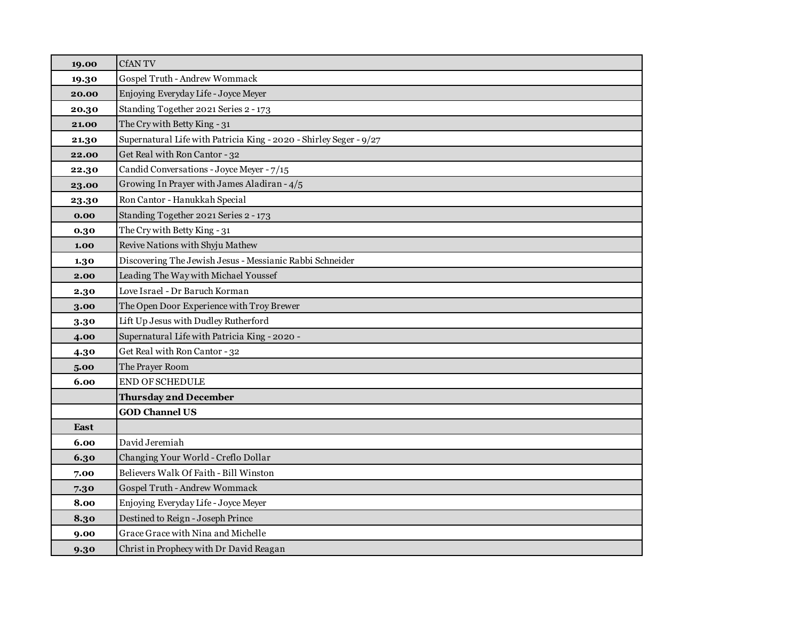| 19.00 | <b>CfANTV</b>                                                      |
|-------|--------------------------------------------------------------------|
| 19.30 | Gospel Truth - Andrew Wommack                                      |
| 20.00 | Enjoying Everyday Life - Joyce Meyer                               |
| 20.30 | Standing Together 2021 Series 2 - 173                              |
| 21.00 | The Cry with Betty King - 31                                       |
| 21.30 | Supernatural Life with Patricia King - 2020 - Shirley Seger - 9/27 |
| 22.00 | Get Real with Ron Cantor - 32                                      |
| 22.30 | Candid Conversations - Joyce Meyer - 7/15                          |
| 23.00 | Growing In Prayer with James Aladiran - 4/5                        |
| 23.30 | Ron Cantor - Hanukkah Special                                      |
| 0.00  | Standing Together 2021 Series 2 - 173                              |
| 0.30  | The Cry with Betty King - 31                                       |
| 1.00  | Revive Nations with Shyju Mathew                                   |
| 1.30  | Discovering The Jewish Jesus - Messianic Rabbi Schneider           |
| 2.00  | Leading The Way with Michael Youssef                               |
| 2.30  | Love Israel - Dr Baruch Korman                                     |
| 3.00  | The Open Door Experience with Troy Brewer                          |
| 3.30  | Lift Up Jesus with Dudley Rutherford                               |
| 4.00  | Supernatural Life with Patricia King - 2020 -                      |
| 4.30  | Get Real with Ron Cantor - 32                                      |
| 5.00  | The Prayer Room                                                    |
| 6.00  | <b>END OF SCHEDULE</b>                                             |
|       | <b>Thursday 2nd December</b>                                       |
|       | <b>GOD Channel US</b>                                              |
| East  |                                                                    |
| 6.00  | David Jeremiah                                                     |
| 6.30  | Changing Your World - Creflo Dollar                                |
| 7.00  | Believers Walk Of Faith - Bill Winston                             |
| 7.30  | Gospel Truth - Andrew Wommack                                      |
| 8.00  | Enjoying Everyday Life - Joyce Meyer                               |
| 8.30  | Destined to Reign - Joseph Prince                                  |
| 9.00  | Grace Grace with Nina and Michelle                                 |
| 9.30  | Christ in Prophecy with Dr David Reagan                            |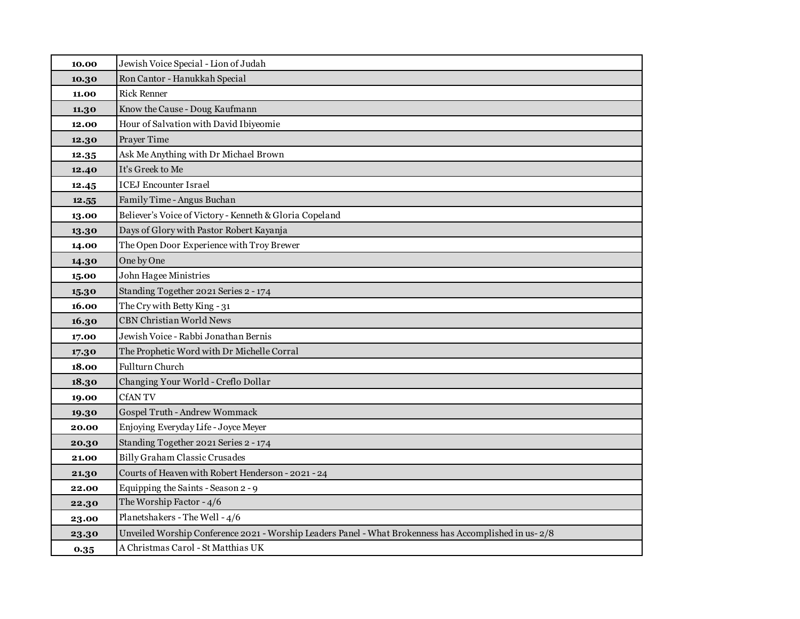| 10.00 | Jewish Voice Special - Lion of Judah                                                                   |
|-------|--------------------------------------------------------------------------------------------------------|
| 10.30 | Ron Cantor - Hanukkah Special                                                                          |
| 11.00 | <b>Rick Renner</b>                                                                                     |
| 11.30 | Know the Cause - Doug Kaufmann                                                                         |
| 12.00 | Hour of Salvation with David Ibiyeomie                                                                 |
| 12.30 | Prayer Time                                                                                            |
| 12.35 | Ask Me Anything with Dr Michael Brown                                                                  |
| 12.40 | It's Greek to Me                                                                                       |
| 12.45 | <b>ICEJ Encounter Israel</b>                                                                           |
| 12.55 | Family Time - Angus Buchan                                                                             |
| 13.00 | Believer's Voice of Victory - Kenneth & Gloria Copeland                                                |
| 13.30 | Days of Glory with Pastor Robert Kayanja                                                               |
| 14.00 | The Open Door Experience with Troy Brewer                                                              |
| 14.30 | One by One                                                                                             |
| 15.00 | John Hagee Ministries                                                                                  |
| 15.30 | Standing Together 2021 Series 2 - 174                                                                  |
| 16.00 | The Cry with Betty King - 31                                                                           |
| 16.30 | <b>CBN Christian World News</b>                                                                        |
| 17.00 | Jewish Voice - Rabbi Jonathan Bernis                                                                   |
| 17.30 | The Prophetic Word with Dr Michelle Corral                                                             |
| 18.00 | Fullturn Church                                                                                        |
| 18.30 | Changing Your World - Creflo Dollar                                                                    |
| 19.00 | <b>CfANTV</b>                                                                                          |
| 19.30 | Gospel Truth - Andrew Wommack                                                                          |
| 20.00 | Enjoying Everyday Life - Joyce Meyer                                                                   |
| 20.30 | Standing Together 2021 Series 2 - 174                                                                  |
| 21.00 | Billy Graham Classic Crusades                                                                          |
| 21.30 | Courts of Heaven with Robert Henderson - 2021 - 24                                                     |
| 22.00 | Equipping the Saints - Season 2 - 9                                                                    |
| 22.30 | The Worship Factor - 4/6                                                                               |
| 23.00 | Planetshakers - The Well - 4/6                                                                         |
| 23.30 | Unveiled Worship Conference 2021 - Worship Leaders Panel - What Brokenness has Accomplished in us- 2/8 |
| 0.35  | A Christmas Carol - St Matthias UK                                                                     |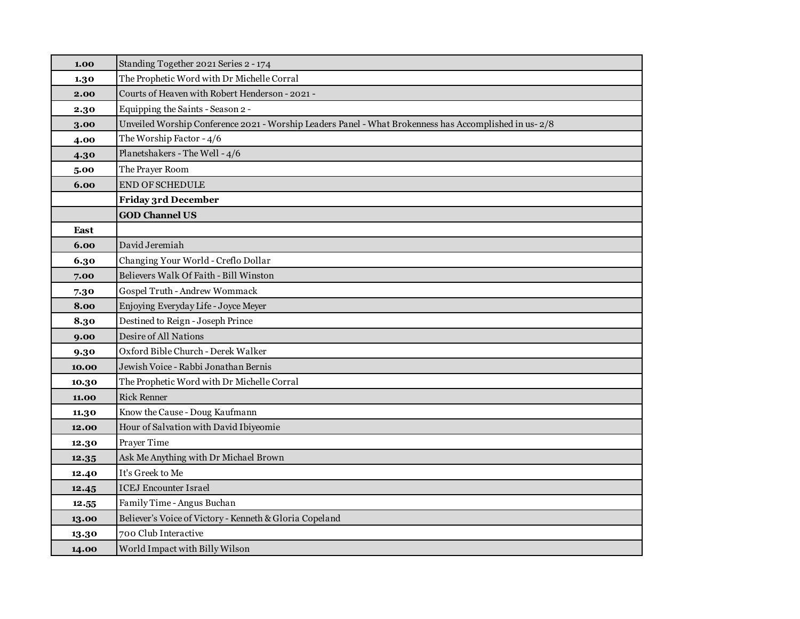| 1.00  | Standing Together 2021 Series 2 - 174                                                                  |
|-------|--------------------------------------------------------------------------------------------------------|
| 1.30  | The Prophetic Word with Dr Michelle Corral                                                             |
| 2.00  | Courts of Heaven with Robert Henderson - 2021 -                                                        |
| 2.30  | Equipping the Saints - Season 2 -                                                                      |
| 3.00  | Unveiled Worship Conference 2021 - Worship Leaders Panel - What Brokenness has Accomplished in us- 2/8 |
| 4.00  | The Worship Factor - 4/6                                                                               |
| 4.30  | Planetshakers - The Well - 4/6                                                                         |
| 5.00  | The Prayer Room                                                                                        |
| 6.00  | <b>END OF SCHEDULE</b>                                                                                 |
|       | <b>Friday 3rd December</b>                                                                             |
|       | <b>GOD Channel US</b>                                                                                  |
| East  |                                                                                                        |
| 6.00  | David Jeremiah                                                                                         |
| 6.30  | Changing Your World - Creflo Dollar                                                                    |
| 7.00  | Believers Walk Of Faith - Bill Winston                                                                 |
| 7.30  | Gospel Truth - Andrew Wommack                                                                          |
| 8.00  | Enjoying Everyday Life - Joyce Meyer                                                                   |
| 8.30  | Destined to Reign - Joseph Prince                                                                      |
| 9.00  | Desire of All Nations                                                                                  |
| 9.30  | Oxford Bible Church - Derek Walker                                                                     |
| 10.00 | Jewish Voice - Rabbi Jonathan Bernis                                                                   |
| 10.30 | The Prophetic Word with Dr Michelle Corral                                                             |
| 11.00 | <b>Rick Renner</b>                                                                                     |
| 11.30 | Know the Cause - Doug Kaufmann                                                                         |
| 12.00 | Hour of Salvation with David Ibiyeomie                                                                 |
| 12.30 | Prayer Time                                                                                            |
| 12.35 | Ask Me Anything with Dr Michael Brown                                                                  |
| 12.40 | It's Greek to Me                                                                                       |
| 12.45 | <b>ICEJ Encounter Israel</b>                                                                           |
| 12.55 | Family Time - Angus Buchan                                                                             |
| 13.00 | Believer's Voice of Victory - Kenneth & Gloria Copeland                                                |
| 13.30 | 700 Club Interactive                                                                                   |
| 14.00 | World Impact with Billy Wilson                                                                         |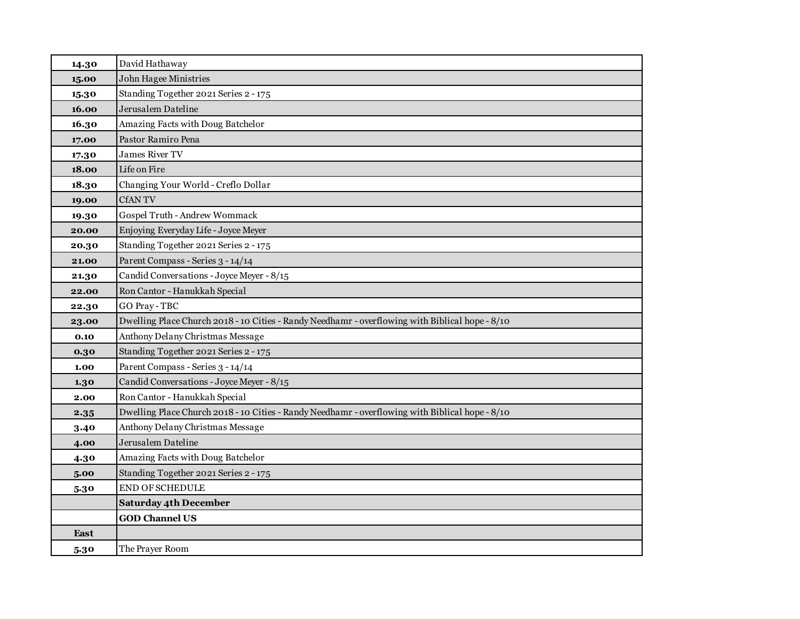| 14.30 | David Hathaway                                                                                  |
|-------|-------------------------------------------------------------------------------------------------|
| 15.00 | <b>John Hagee Ministries</b>                                                                    |
| 15.30 | Standing Together 2021 Series 2 - 175                                                           |
| 16.00 | Jerusalem Dateline                                                                              |
| 16.30 | Amazing Facts with Doug Batchelor                                                               |
| 17.00 | Pastor Ramiro Pena                                                                              |
| 17.30 | James River TV                                                                                  |
| 18.00 | Life on Fire                                                                                    |
| 18.30 | Changing Your World - Creflo Dollar                                                             |
| 19.00 | <b>CfANTV</b>                                                                                   |
| 19.30 | Gospel Truth - Andrew Wommack                                                                   |
| 20.00 | Enjoying Everyday Life - Joyce Meyer                                                            |
| 20.30 | Standing Together 2021 Series 2 - 175                                                           |
| 21.00 | Parent Compass - Series 3 - 14/14                                                               |
| 21.30 | Candid Conversations - Joyce Meyer - 8/15                                                       |
| 22.00 | Ron Cantor - Hanukkah Special                                                                   |
| 22.30 | <b>GO Pray-TBC</b>                                                                              |
| 23.00 | Dwelling Place Church 2018 - 10 Cities - Randy Needhamr - overflowing with Biblical hope - 8/10 |
| 0.10  | Anthony Delany Christmas Message                                                                |
| 0.30  | Standing Together 2021 Series 2 - 175                                                           |
| 1.00  | Parent Compass - Series 3 - 14/14                                                               |
| 1.30  | Candid Conversations - Joyce Meyer - 8/15                                                       |
| 2.00  | Ron Cantor - Hanukkah Special                                                                   |
| 2.35  | Dwelling Place Church 2018 - 10 Cities - Randy Needhamr - overflowing with Biblical hope - 8/10 |
| 3.40  | Anthony Delany Christmas Message                                                                |
| 4.00  | Jerusalem Dateline                                                                              |
| 4.30  | Amazing Facts with Doug Batchelor                                                               |
| 5.00  | Standing Together 2021 Series 2 - 175                                                           |
| 5.30  | END OF SCHEDULE                                                                                 |
|       | <b>Saturday 4th December</b>                                                                    |
|       | <b>GOD Channel US</b>                                                                           |
| East  |                                                                                                 |
| 5.30  | The Prayer Room                                                                                 |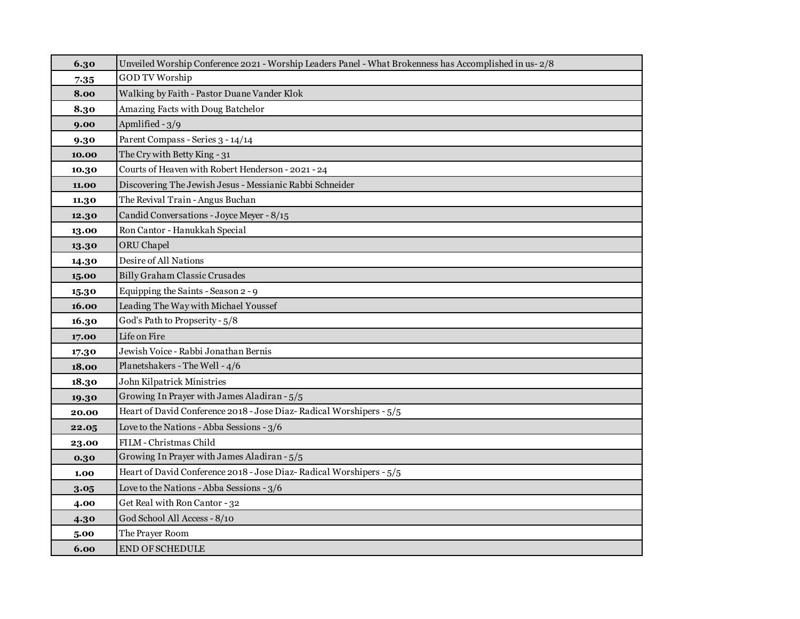| 6.30  | Unveiled Worship Conference 2021 - Worship Leaders Panel - What Brokenness has Accomplished in us- 2/8 |
|-------|--------------------------------------------------------------------------------------------------------|
| 7.35  | <b>GOD TV Worship</b>                                                                                  |
| 8.00  | Walking by Faith - Pastor Duane Vander Klok                                                            |
| 8.30  | Amazing Facts with Doug Batchelor                                                                      |
| 9.00  | Apmlified - 3/9                                                                                        |
| 9.30  | Parent Compass - Series 3 - 14/14                                                                      |
| 10.00 | The Cry with Betty King - 31                                                                           |
| 10.30 | Courts of Heaven with Robert Henderson - 2021 - 24                                                     |
| 11.00 | Discovering The Jewish Jesus - Messianic Rabbi Schneider                                               |
| 11.30 | The Revival Train - Angus Buchan                                                                       |
| 12.30 | Candid Conversations - Joyce Meyer - 8/15                                                              |
| 13.00 | Ron Cantor - Hanukkah Special                                                                          |
| 13.30 | ORU Chapel                                                                                             |
| 14.30 | Desire of All Nations                                                                                  |
| 15.00 | <b>Billy Graham Classic Crusades</b>                                                                   |
| 15.30 | Equipping the Saints - Season 2 - 9                                                                    |
| 16.00 | Leading The Way with Michael Youssef                                                                   |
| 16.30 | God's Path to Propserity - 5/8                                                                         |
| 17.00 | Life on Fire                                                                                           |
| 17.30 | Jewish Voice - Rabbi Jonathan Bernis                                                                   |
| 18.00 | Planetshakers - The Well - 4/6                                                                         |
| 18.30 | John Kilpatrick Ministries                                                                             |
| 19.30 | Growing In Prayer with James Aladiran - 5/5                                                            |
| 20.00 | Heart of David Conference 2018 - Jose Diaz-Radical Worshipers - 5/5                                    |
| 22.05 | Love to the Nations - Abba Sessions - 3/6                                                              |
| 23.00 | FILM - Christmas Child                                                                                 |
| 0.30  | Growing In Prayer with James Aladiran - 5/5                                                            |
| 1.00  | Heart of David Conference 2018 - Jose Diaz-Radical Worshipers - 5/5                                    |
| 3.05  | Love to the Nations - Abba Sessions - 3/6                                                              |
| 4.00  | Get Real with Ron Cantor - 32                                                                          |
| 4.30  | God School All Access - 8/10                                                                           |
| 5.00  | The Prayer Room                                                                                        |
| 6.00  | <b>END OF SCHEDULE</b>                                                                                 |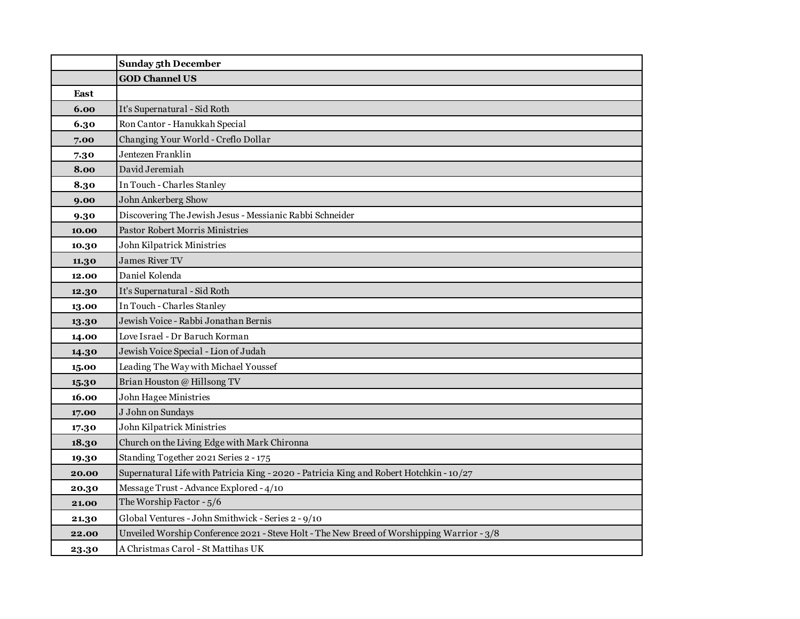|       | <b>Sunday 5th December</b>                                                                 |
|-------|--------------------------------------------------------------------------------------------|
|       | <b>GOD Channel US</b>                                                                      |
| East  |                                                                                            |
| 6.00  | It's Supernatural - Sid Roth                                                               |
| 6.30  | Ron Cantor - Hanukkah Special                                                              |
| 7.00  | Changing Your World - Creflo Dollar                                                        |
| 7.30  | Jentezen Franklin                                                                          |
| 8.00  | David Jeremiah                                                                             |
| 8.30  | In Touch - Charles Stanley                                                                 |
| 9.00  | John Ankerberg Show                                                                        |
| 9.30  | Discovering The Jewish Jesus - Messianic Rabbi Schneider                                   |
| 10.00 | <b>Pastor Robert Morris Ministries</b>                                                     |
| 10.30 | John Kilpatrick Ministries                                                                 |
| 11.30 | <b>James River TV</b>                                                                      |
| 12.00 | Daniel Kolenda                                                                             |
| 12.30 | It's Supernatural - Sid Roth                                                               |
| 13.00 | In Touch - Charles Stanley                                                                 |
| 13.30 | Jewish Voice - Rabbi Jonathan Bernis                                                       |
| 14.00 | Love Israel - Dr Baruch Korman                                                             |
| 14.30 | Jewish Voice Special - Lion of Judah                                                       |
| 15.00 | Leading The Way with Michael Youssef                                                       |
| 15.30 | Brian Houston @ Hillsong TV                                                                |
| 16.00 | <b>John Hagee Ministries</b>                                                               |
| 17.00 | J John on Sundays                                                                          |
| 17.30 | John Kilpatrick Ministries                                                                 |
| 18.30 | Church on the Living Edge with Mark Chironna                                               |
| 19.30 | Standing Together 2021 Series 2 - 175                                                      |
| 20.00 | Supernatural Life with Patricia King - 2020 - Patricia King and Robert Hotchkin - 10/27    |
| 20.30 | Message Trust - Advance Explored - 4/10                                                    |
| 21.00 | The Worship Factor - 5/6                                                                   |
| 21.30 | Global Ventures - John Smithwick - Series 2 - 9/10                                         |
| 22.00 | Unveiled Worship Conference 2021 - Steve Holt - The New Breed of Worshipping Warrior - 3/8 |
| 23.30 | A Christmas Carol - St Mattihas UK                                                         |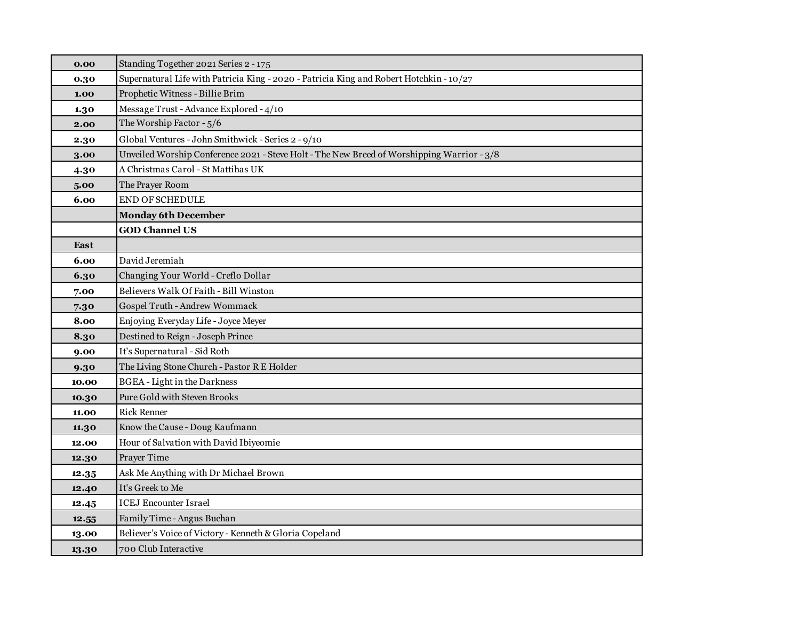| 0.00  | Standing Together 2021 Series 2 - 175                                                      |
|-------|--------------------------------------------------------------------------------------------|
| 0.30  | Supernatural Life with Patricia King - 2020 - Patricia King and Robert Hotchkin - 10/27    |
| 1.00  | Prophetic Witness - Billie Brim                                                            |
| 1.30  | Message Trust - Advance Explored - 4/10                                                    |
| 2.00  | The Worship Factor - 5/6                                                                   |
| 2.30  | Global Ventures - John Smithwick - Series 2 - 9/10                                         |
| 3.00  | Unveiled Worship Conference 2021 - Steve Holt - The New Breed of Worshipping Warrior - 3/8 |
| 4.30  | A Christmas Carol - St Mattihas UK                                                         |
| 5.00  | The Prayer Room                                                                            |
| 6.00  | <b>END OF SCHEDULE</b>                                                                     |
|       | <b>Monday 6th December</b>                                                                 |
|       | <b>GOD Channel US</b>                                                                      |
| East  |                                                                                            |
| 6.00  | David Jeremiah                                                                             |
| 6.30  | Changing Your World - Creflo Dollar                                                        |
| 7.00  | Believers Walk Of Faith - Bill Winston                                                     |
| 7.30  | Gospel Truth - Andrew Wommack                                                              |
| 8.00  | Enjoying Everyday Life - Joyce Meyer                                                       |
| 8.30  | Destined to Reign - Joseph Prince                                                          |
| 9.00  | It's Supernatural - Sid Roth                                                               |
| 9.30  | The Living Stone Church - Pastor R E Holder                                                |
| 10.00 | <b>BGEA</b> - Light in the Darkness                                                        |
| 10.30 | Pure Gold with Steven Brooks                                                               |
| 11.00 | <b>Rick Renner</b>                                                                         |
| 11.30 | Know the Cause - Doug Kaufmann                                                             |
| 12.00 | Hour of Salvation with David Ibiyeomie                                                     |
| 12.30 | Prayer Time                                                                                |
| 12.35 | Ask Me Anything with Dr Michael Brown                                                      |
| 12.40 | It's Greek to Me                                                                           |
| 12.45 | <b>ICEJ Encounter Israel</b>                                                               |
| 12.55 | Family Time - Angus Buchan                                                                 |
| 13.00 | Believer's Voice of Victory - Kenneth & Gloria Copeland                                    |
| 13.30 | 700 Club Interactive                                                                       |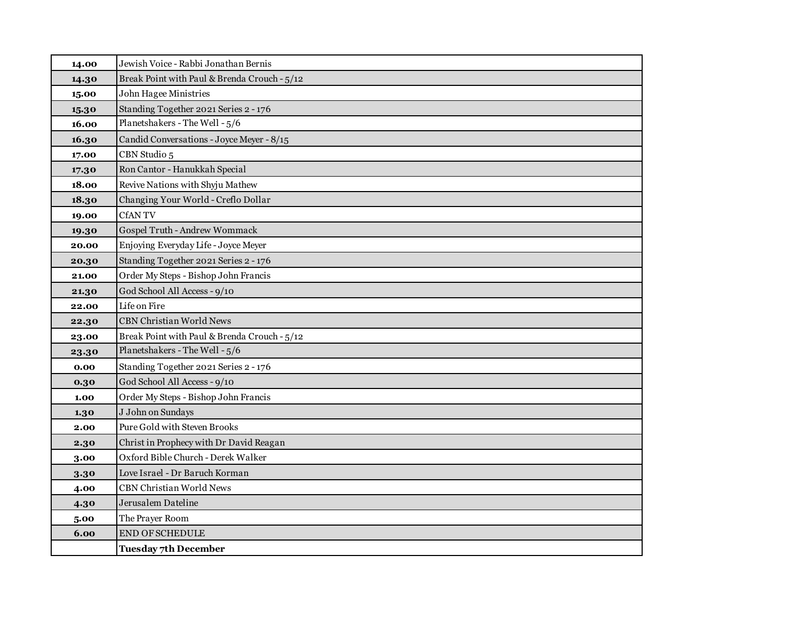| 14.00 | Jewish Voice - Rabbi Jonathan Bernis         |
|-------|----------------------------------------------|
| 14.30 | Break Point with Paul & Brenda Crouch - 5/12 |
| 15.00 | John Hagee Ministries                        |
| 15.30 | Standing Together 2021 Series 2 - 176        |
| 16.00 | Planetshakers - The Well - 5/6               |
| 16.30 | Candid Conversations - Joyce Meyer - 8/15    |
| 17.00 | CBN Studio 5                                 |
| 17.30 | Ron Cantor - Hanukkah Special                |
| 18.00 | Revive Nations with Shyju Mathew             |
| 18.30 | Changing Your World - Creflo Dollar          |
| 19.00 | <b>CfANTV</b>                                |
| 19.30 | Gospel Truth - Andrew Wommack                |
| 20.00 | Enjoying Everyday Life - Joyce Meyer         |
| 20.30 | Standing Together 2021 Series 2 - 176        |
| 21.00 | Order My Steps - Bishop John Francis         |
| 21.30 | God School All Access - 9/10                 |
| 22.00 | Life on Fire                                 |
| 22.30 | <b>CBN Christian World News</b>              |
| 23.00 | Break Point with Paul & Brenda Crouch - 5/12 |
| 23.30 | Planetshakers - The Well - 5/6               |
| 0.00  | Standing Together 2021 Series 2 - 176        |
| 0.30  | God School All Access - 9/10                 |
| 1.00  | Order My Steps - Bishop John Francis         |
| 1.30  | J John on Sundays                            |
| 2.00  | Pure Gold with Steven Brooks                 |
| 2.30  | Christ in Prophecy with Dr David Reagan      |
| 3.00  | Oxford Bible Church - Derek Walker           |
| 3.30  | Love Israel - Dr Baruch Korman               |
| 4.00  | <b>CBN Christian World News</b>              |
| 4.30  | Jerusalem Dateline                           |
| 5.00  | The Prayer Room                              |
| 6.00  | <b>END OF SCHEDULE</b>                       |
|       | <b>Tuesday 7th December</b>                  |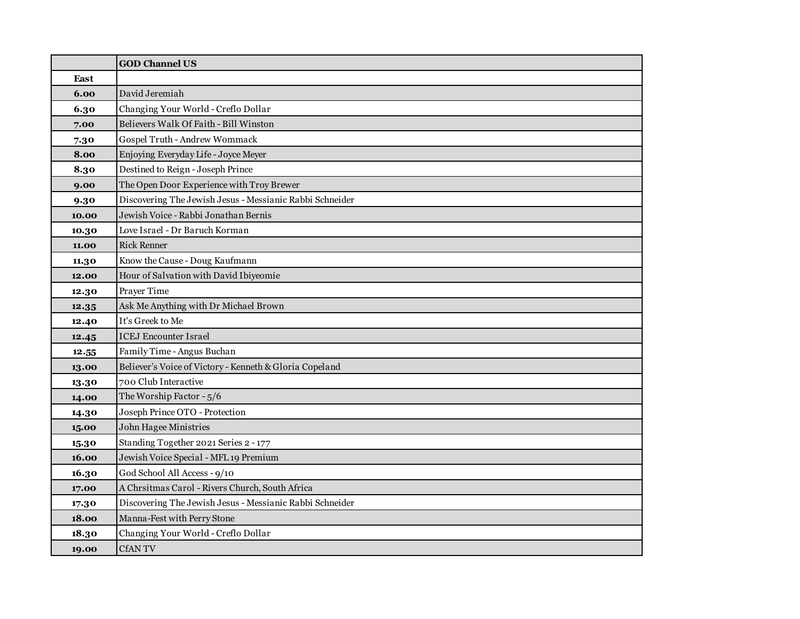|       | <b>GOD Channel US</b>                                    |
|-------|----------------------------------------------------------|
| East  |                                                          |
| 6.00  | David Jeremiah                                           |
| 6.30  | Changing Your World - Creflo Dollar                      |
| 7.00  | Believers Walk Of Faith - Bill Winston                   |
| 7.30  | Gospel Truth - Andrew Wommack                            |
| 8.00  | Enjoying Everyday Life - Joyce Meyer                     |
| 8.30  | Destined to Reign - Joseph Prince                        |
| 9.00  | The Open Door Experience with Troy Brewer                |
| 9.30  | Discovering The Jewish Jesus - Messianic Rabbi Schneider |
| 10.00 | Jewish Voice - Rabbi Jonathan Bernis                     |
| 10.30 | Love Israel - Dr Baruch Korman                           |
| 11.00 | <b>Rick Renner</b>                                       |
| 11.30 | Know the Cause - Doug Kaufmann                           |
| 12.00 | Hour of Salvation with David Ibiyeomie                   |
| 12.30 | Prayer Time                                              |
| 12.35 | Ask Me Anything with Dr Michael Brown                    |
| 12.40 | It's Greek to Me                                         |
| 12.45 | <b>ICEJ Encounter Israel</b>                             |
| 12.55 | Family Time - Angus Buchan                               |
| 13.00 | Believer's Voice of Victory - Kenneth & Gloria Copeland  |
| 13.30 | 700 Club Interactive                                     |
| 14.00 | The Worship Factor - 5/6                                 |
| 14.30 | Joseph Prince OTO - Protection                           |
| 15.00 | John Hagee Ministries                                    |
| 15.30 | Standing Together 2021 Series 2 - 177                    |
| 16.00 | Jewish Voice Special - MFL 19 Premium                    |
| 16.30 | God School All Access - 9/10                             |
| 17.00 | A Chrsitmas Carol - Rivers Church, South Africa          |
| 17.30 | Discovering The Jewish Jesus - Messianic Rabbi Schneider |
| 18.00 | Manna-Fest with Perry Stone                              |
| 18.30 | Changing Your World - Creflo Dollar                      |
| 19.00 | <b>CfANTV</b>                                            |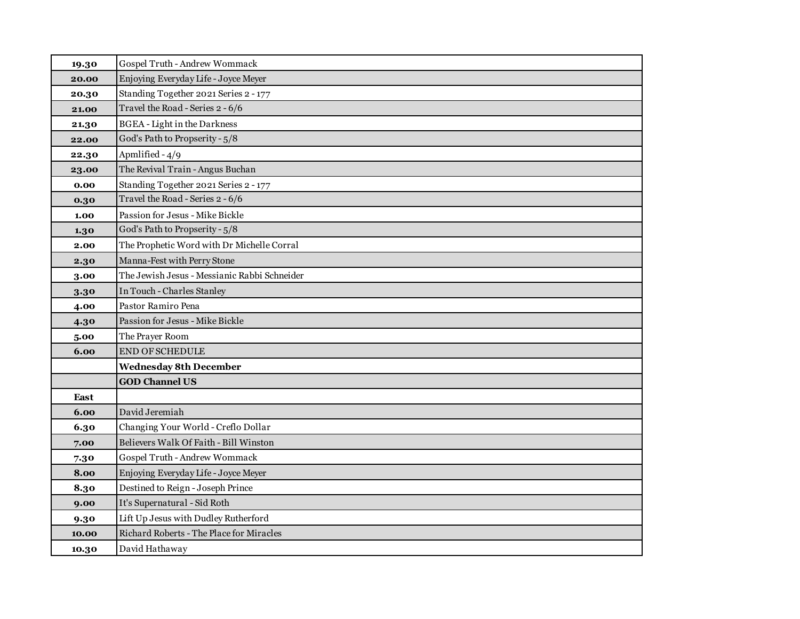| 19.30 | Gospel Truth - Andrew Wommack                |
|-------|----------------------------------------------|
| 20.00 | Enjoying Everyday Life - Joyce Meyer         |
| 20.30 | Standing Together 2021 Series 2 - 177        |
| 21.00 | Travel the Road - Series 2 - 6/6             |
| 21.30 | <b>BGEA</b> - Light in the Darkness          |
| 22.00 | God's Path to Propserity - 5/8               |
| 22.30 | Apmlified - 4/9                              |
| 23.00 | The Revival Train - Angus Buchan             |
| 0.00  | Standing Together 2021 Series 2 - 177        |
| 0.30  | Travel the Road - Series 2 - 6/6             |
| 1.00  | Passion for Jesus - Mike Bickle              |
| 1.30  | God's Path to Propserity - 5/8               |
| 2.00  | The Prophetic Word with Dr Michelle Corral   |
| 2.30  | Manna-Fest with Perry Stone                  |
| 3.00  | The Jewish Jesus - Messianic Rabbi Schneider |
| 3.30  | In Touch - Charles Stanley                   |
| 4.00  | Pastor Ramiro Pena                           |
| 4.30  | Passion for Jesus - Mike Bickle              |
| 5.00  | The Prayer Room                              |
| 6.00  | <b>END OF SCHEDULE</b>                       |
|       | <b>Wednesday 8th December</b>                |
|       | <b>GOD Channel US</b>                        |
| East  |                                              |
| 6.00  | David Jeremiah                               |
| 6.30  | Changing Your World - Creflo Dollar          |
| 7.00  | Believers Walk Of Faith - Bill Winston       |
| 7.30  | Gospel Truth - Andrew Wommack                |
| 8.00  | Enjoying Everyday Life - Joyce Meyer         |
| 8.30  | Destined to Reign - Joseph Prince            |
| 9.00  | It's Supernatural - Sid Roth                 |
| 9.30  | Lift Up Jesus with Dudley Rutherford         |
| 10.00 | Richard Roberts - The Place for Miracles     |
| 10.30 | David Hathaway                               |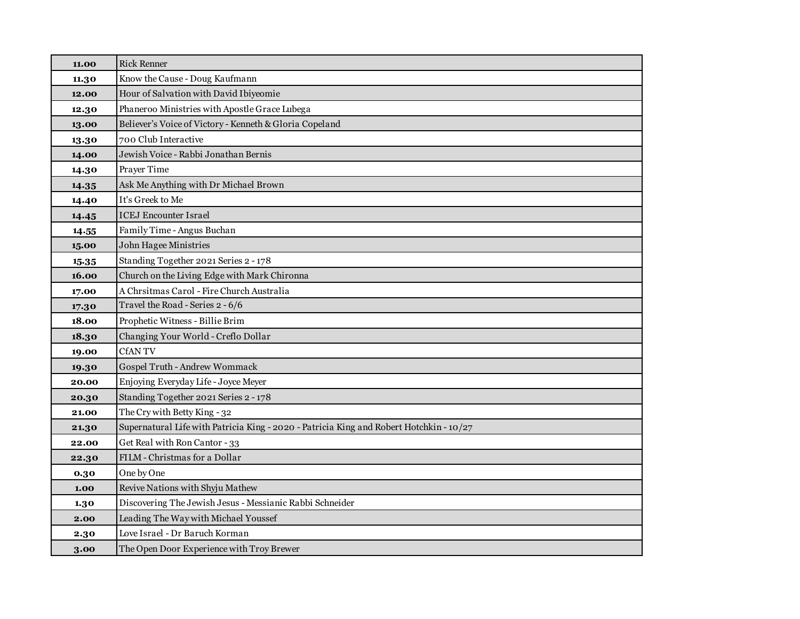| 11.00 | <b>Rick Renner</b>                                                                      |
|-------|-----------------------------------------------------------------------------------------|
| 11.30 | Know the Cause - Doug Kaufmann                                                          |
| 12.00 | Hour of Salvation with David Ibiyeomie                                                  |
| 12.30 | Phaneroo Ministries with Apostle Grace Lubega                                           |
| 13.00 | Believer's Voice of Victory - Kenneth & Gloria Copeland                                 |
| 13.30 | 700 Club Interactive                                                                    |
| 14.00 | Jewish Voice - Rabbi Jonathan Bernis                                                    |
| 14.30 | Prayer Time                                                                             |
| 14.35 | Ask Me Anything with Dr Michael Brown                                                   |
| 14.40 | It's Greek to Me                                                                        |
| 14.45 | <b>ICEJ</b> Encounter Israel                                                            |
| 14.55 | Family Time - Angus Buchan                                                              |
| 15.00 | John Hagee Ministries                                                                   |
| 15.35 | Standing Together 2021 Series 2 - 178                                                   |
| 16.00 | Church on the Living Edge with Mark Chironna                                            |
| 17.00 | A Chrsitmas Carol - Fire Church Australia                                               |
| 17.30 | Travel the Road - Series 2 - 6/6                                                        |
| 18.00 | Prophetic Witness - Billie Brim                                                         |
| 18.30 | Changing Your World - Creflo Dollar                                                     |
| 19.00 | <b>CfANTV</b>                                                                           |
| 19.30 | Gospel Truth - Andrew Wommack                                                           |
| 20.00 | Enjoying Everyday Life - Joyce Meyer                                                    |
| 20.30 | Standing Together 2021 Series 2 - 178                                                   |
| 21.00 | The Cry with Betty King - 32                                                            |
| 21.30 | Supernatural Life with Patricia King - 2020 - Patricia King and Robert Hotchkin - 10/27 |
| 22.00 | Get Real with Ron Cantor - 33                                                           |
| 22.30 | FILM - Christmas for a Dollar                                                           |
| 0.30  | One by One                                                                              |
| 1.00  | Revive Nations with Shyju Mathew                                                        |
| 1.30  | Discovering The Jewish Jesus - Messianic Rabbi Schneider                                |
| 2.00  | Leading The Way with Michael Youssef                                                    |
| 2.30  | Love Israel - Dr Baruch Korman                                                          |
| 3.00  | The Open Door Experience with Troy Brewer                                               |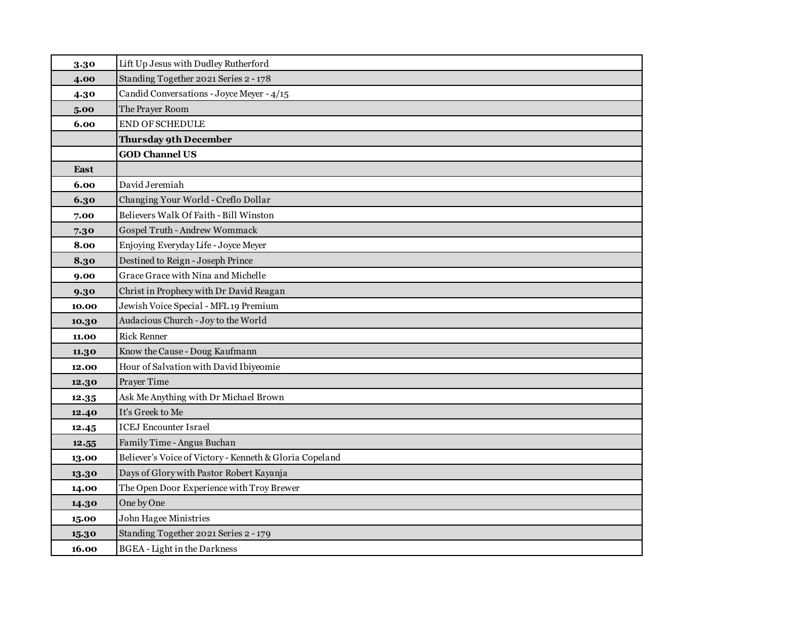| 3.30        | Lift Up Jesus with Dudley Rutherford                    |
|-------------|---------------------------------------------------------|
| 4.00        | Standing Together 2021 Series 2 - 178                   |
| 4.30        | Candid Conversations - Joyce Meyer - 4/15               |
| 5.00        | The Prayer Room                                         |
| 6.00        | <b>END OF SCHEDULE</b>                                  |
|             | <b>Thursday 9th December</b>                            |
|             | <b>GOD Channel US</b>                                   |
| <b>East</b> |                                                         |
| 6.00        | David Jeremiah                                          |
| 6.30        | Changing Your World - Creflo Dollar                     |
| 7.00        | Believers Walk Of Faith - Bill Winston                  |
| 7.30        | Gospel Truth - Andrew Wommack                           |
| 8.00        | Enjoying Everyday Life - Joyce Meyer                    |
| 8.30        | Destined to Reign - Joseph Prince                       |
| 9.00        | Grace Grace with Nina and Michelle                      |
| 9.30        | Christ in Prophecy with Dr David Reagan                 |
| 10.00       | Jewish Voice Special - MFL 19 Premium                   |
| 10.30       | Audacious Church - Joy to the World                     |
| 11.00       | <b>Rick Renner</b>                                      |
| 11.30       | Know the Cause - Doug Kaufmann                          |
| 12.00       | Hour of Salvation with David Ibiyeomie                  |
| 12.30       | Prayer Time                                             |
| 12.35       | Ask Me Anything with Dr Michael Brown                   |
| 12.40       | It's Greek to Me                                        |
| 12.45       | <b>ICEJ Encounter Israel</b>                            |
| 12.55       | Family Time - Angus Buchan                              |
| 13.00       | Believer's Voice of Victory - Kenneth & Gloria Copeland |
| 13.30       | Days of Glory with Pastor Robert Kayanja                |
| 14.00       | The Open Door Experience with Troy Brewer               |
| 14.30       | One by One                                              |
| 15.00       | <b>John Hagee Ministries</b>                            |
| 15.30       | Standing Together 2021 Series 2 - 179                   |
| 16.00       | <b>BGEA</b> - Light in the Darkness                     |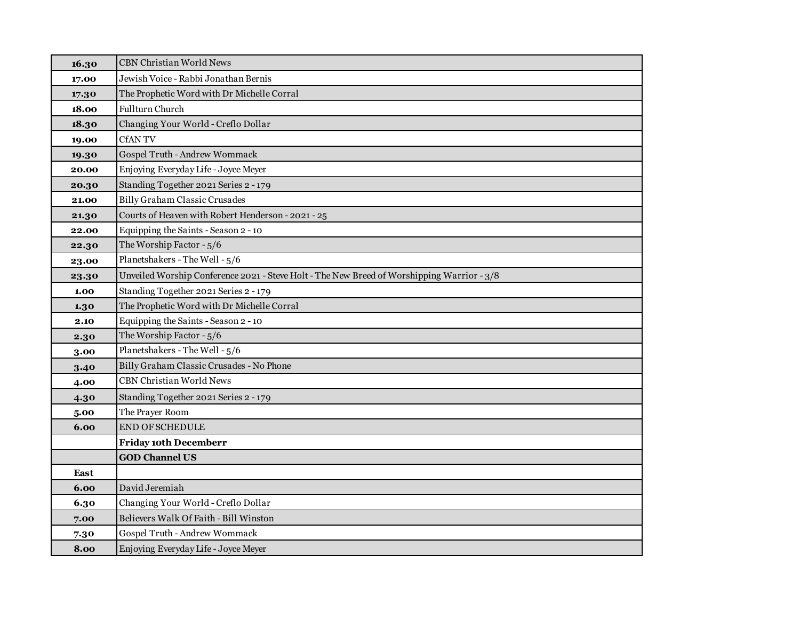| 16.30 | <b>CBN Christian World News</b>                                                            |
|-------|--------------------------------------------------------------------------------------------|
| 17.00 | Jewish Voice - Rabbi Jonathan Bernis                                                       |
| 17.30 | The Prophetic Word with Dr Michelle Corral                                                 |
| 18.00 | <b>Fullturn Church</b>                                                                     |
| 18.30 | Changing Your World - Creflo Dollar                                                        |
| 19.00 | <b>CfANTV</b>                                                                              |
| 19.30 | Gospel Truth - Andrew Wommack                                                              |
| 20.00 | Enjoying Everyday Life - Joyce Meyer                                                       |
| 20.30 | Standing Together 2021 Series 2 - 179                                                      |
| 21.00 | <b>Billy Graham Classic Crusades</b>                                                       |
| 21.30 | Courts of Heaven with Robert Henderson - 2021 - 25                                         |
| 22.00 | Equipping the Saints - Season 2 - 10                                                       |
| 22.30 | The Worship Factor - 5/6                                                                   |
| 23.00 | Planetshakers - The Well - 5/6                                                             |
| 23.30 | Unveiled Worship Conference 2021 - Steve Holt - The New Breed of Worshipping Warrior - 3/8 |
| 1.00  | Standing Together 2021 Series 2 - 179                                                      |
| 1.30  | The Prophetic Word with Dr Michelle Corral                                                 |
| 2.10  | Equipping the Saints - Season 2 - 10                                                       |
| 2.30  | The Worship Factor - 5/6                                                                   |
| 3.00  | Planetshakers - The Well - 5/6                                                             |
| 3.40  | Billy Graham Classic Crusades - No Phone                                                   |
| 4.00  | <b>CBN Christian World News</b>                                                            |
| 4.30  | Standing Together 2021 Series 2 - 179                                                      |
| 5.00  | The Prayer Room                                                                            |
| 6.00  | <b>END OF SCHEDULE</b>                                                                     |
|       | <b>Friday 10th Decemberr</b>                                                               |
|       | <b>GOD Channel US</b>                                                                      |
| East  |                                                                                            |
| 6.00  | David Jeremiah                                                                             |
| 6.30  | Changing Your World - Creflo Dollar                                                        |
| 7.00  | Believers Walk Of Faith - Bill Winston                                                     |
| 7.30  | Gospel Truth - Andrew Wommack                                                              |
| 8.00  | Enjoying Everyday Life - Joyce Meyer                                                       |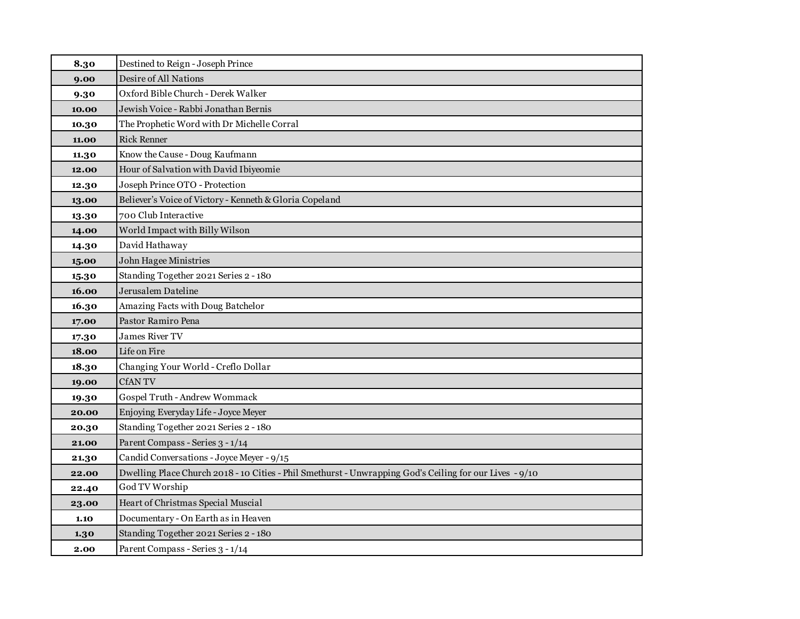| 8.30  | Destined to Reign - Joseph Prince                                                                       |
|-------|---------------------------------------------------------------------------------------------------------|
| 9.00  | Desire of All Nations                                                                                   |
| 9.30  | Oxford Bible Church - Derek Walker                                                                      |
| 10.00 | Jewish Voice - Rabbi Jonathan Bernis                                                                    |
| 10.30 | The Prophetic Word with Dr Michelle Corral                                                              |
| 11.00 | <b>Rick Renner</b>                                                                                      |
| 11.30 | Know the Cause - Doug Kaufmann                                                                          |
| 12.00 | Hour of Salvation with David Ibiyeomie                                                                  |
| 12.30 | Joseph Prince OTO - Protection                                                                          |
| 13.00 | Believer's Voice of Victory - Kenneth & Gloria Copeland                                                 |
| 13.30 | 700 Club Interactive                                                                                    |
| 14.00 | World Impact with Billy Wilson                                                                          |
| 14.30 | David Hathaway                                                                                          |
| 15.00 | John Hagee Ministries                                                                                   |
| 15.30 | Standing Together 2021 Series 2 - 180                                                                   |
| 16.00 | Jerusalem Dateline                                                                                      |
| 16.30 | Amazing Facts with Doug Batchelor                                                                       |
| 17.00 | Pastor Ramiro Pena                                                                                      |
| 17.30 | James River TV                                                                                          |
| 18.00 | Life on Fire                                                                                            |
| 18.30 | Changing Your World - Creflo Dollar                                                                     |
| 19.00 | <b>CfANTV</b>                                                                                           |
| 19.30 | Gospel Truth - Andrew Wommack                                                                           |
| 20.00 | Enjoying Everyday Life - Joyce Meyer                                                                    |
| 20.30 | Standing Together 2021 Series 2 - 180                                                                   |
| 21.00 | Parent Compass - Series 3 - 1/14                                                                        |
| 21.30 | Candid Conversations - Joyce Meyer - 9/15                                                               |
| 22.00 | Dwelling Place Church 2018 - 10 Cities - Phil Smethurst - Unwrapping God's Ceiling for our Lives - 9/10 |
| 22.40 | God TV Worship                                                                                          |
| 23.00 | Heart of Christmas Special Muscial                                                                      |
| 1.10  | Documentary - On Earth as in Heaven                                                                     |
| 1.30  | Standing Together 2021 Series 2 - 180                                                                   |
| 2.00  | Parent Compass - Series 3 - 1/14                                                                        |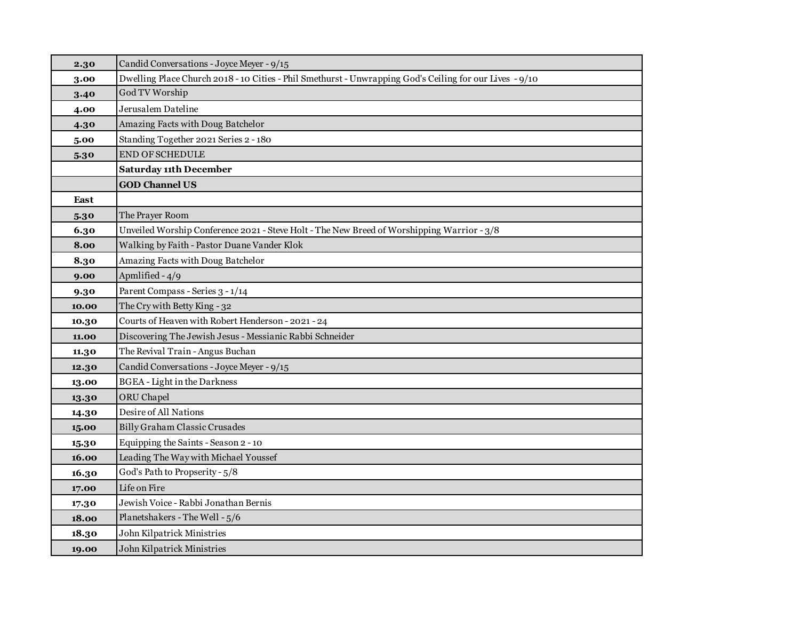| 2.30  | Candid Conversations - Joyce Meyer - 9/15                                                               |
|-------|---------------------------------------------------------------------------------------------------------|
| 3.00  | Dwelling Place Church 2018 - 10 Cities - Phil Smethurst - Unwrapping God's Ceiling for our Lives - 9/10 |
| 3.40  | God TV Worship                                                                                          |
| 4.00  | Jerusalem Dateline                                                                                      |
| 4.30  | Amazing Facts with Doug Batchelor                                                                       |
| 5.00  | Standing Together 2021 Series 2 - 180                                                                   |
| 5.30  | END OF SCHEDULE                                                                                         |
|       | <b>Saturday 11th December</b>                                                                           |
|       | <b>GOD Channel US</b>                                                                                   |
| East  |                                                                                                         |
| 5.30  | The Prayer Room                                                                                         |
| 6.30  | Unveiled Worship Conference 2021 - Steve Holt - The New Breed of Worshipping Warrior - 3/8              |
| 8.00  | Walking by Faith - Pastor Duane Vander Klok                                                             |
| 8.30  | Amazing Facts with Doug Batchelor                                                                       |
| 9.00  | Apmlified - 4/9                                                                                         |
| 9.30  | Parent Compass - Series 3 - 1/14                                                                        |
| 10.00 | The Cry with Betty King - 32                                                                            |
| 10.30 | Courts of Heaven with Robert Henderson - 2021 - 24                                                      |
| 11.00 | Discovering The Jewish Jesus - Messianic Rabbi Schneider                                                |
| 11.30 | The Revival Train - Angus Buchan                                                                        |
| 12.30 | Candid Conversations - Joyce Meyer - 9/15                                                               |
| 13.00 | <b>BGEA</b> - Light in the Darkness                                                                     |
| 13.30 | ORU Chapel                                                                                              |
| 14.30 | Desire of All Nations                                                                                   |
| 15.00 | Billy Graham Classic Crusades                                                                           |
| 15.30 | Equipping the Saints - Season 2 - 10                                                                    |
| 16.00 | Leading The Way with Michael Youssef                                                                    |
| 16.30 | God's Path to Propserity - 5/8                                                                          |
| 17.00 | Life on Fire                                                                                            |
| 17.30 | Jewish Voice - Rabbi Jonathan Bernis                                                                    |
| 18.00 | Planetshakers - The Well - 5/6                                                                          |
| 18.30 | John Kilpatrick Ministries                                                                              |
| 19.00 | John Kilpatrick Ministries                                                                              |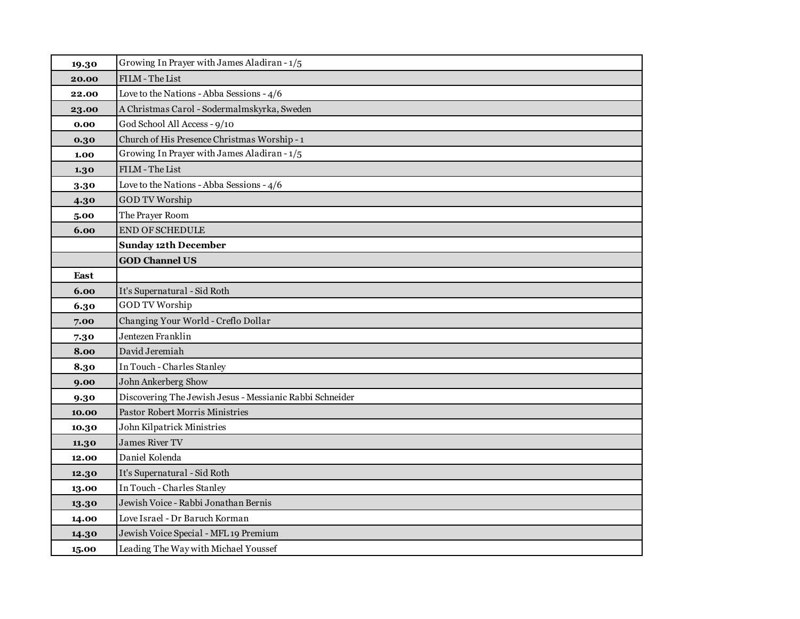| 19.30 | Growing In Prayer with James Aladiran - 1/5              |
|-------|----------------------------------------------------------|
| 20.00 | FILM - The List                                          |
| 22.00 | Love to the Nations - Abba Sessions - 4/6                |
| 23.00 | A Christmas Carol - Sodermalmskyrka, Sweden              |
| 0.00  | God School All Access - 9/10                             |
| 0.30  | Church of His Presence Christmas Worship - 1             |
| 1.00  | Growing In Prayer with James Aladiran - 1/5              |
| 1.30  | FILM - The List                                          |
| 3.30  | Love to the Nations - Abba Sessions - 4/6                |
| 4.30  | <b>GOD TV Worship</b>                                    |
| 5.00  | The Prayer Room                                          |
| 6.00  | <b>END OF SCHEDULE</b>                                   |
|       | <b>Sunday 12th December</b>                              |
|       | <b>GOD Channel US</b>                                    |
| East  |                                                          |
| 6.00  | It's Supernatural - Sid Roth                             |
| 6.30  | <b>GOD TV Worship</b>                                    |
| 7.00  | Changing Your World - Creflo Dollar                      |
| 7.30  | Jentezen Franklin                                        |
| 8.00  | David Jeremiah                                           |
| 8.30  | In Touch - Charles Stanley                               |
| 9.00  | John Ankerberg Show                                      |
| 9.30  | Discovering The Jewish Jesus - Messianic Rabbi Schneider |
| 10.00 | <b>Pastor Robert Morris Ministries</b>                   |
| 10.30 | John Kilpatrick Ministries                               |
| 11.30 | <b>James River TV</b>                                    |
| 12.00 | Daniel Kolenda                                           |
| 12.30 | It's Supernatural - Sid Roth                             |
| 13.00 | In Touch - Charles Stanley                               |
| 13.30 | Jewish Voice - Rabbi Jonathan Bernis                     |
| 14.00 | Love Israel - Dr Baruch Korman                           |
| 14.30 | Jewish Voice Special - MFL 19 Premium                    |
| 15.00 | Leading The Way with Michael Youssef                     |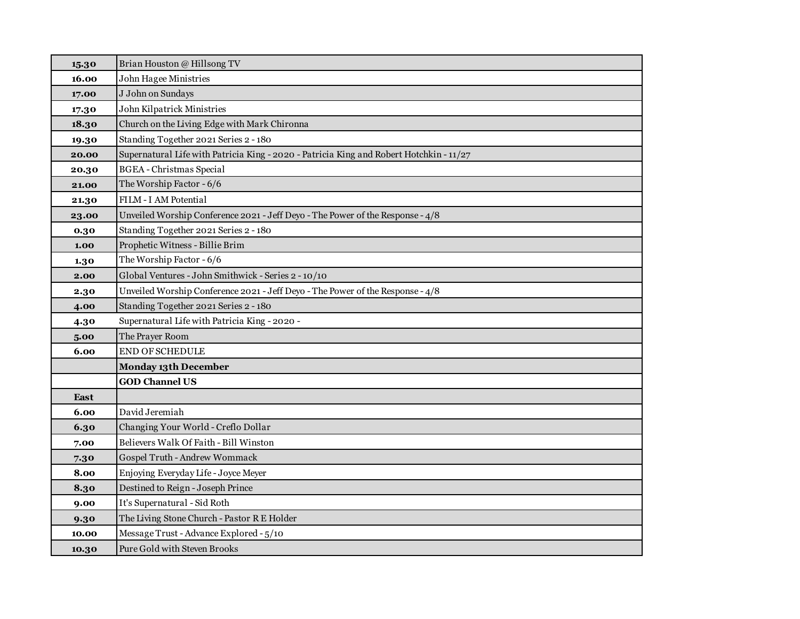| 15.30 | Brian Houston @ Hillsong TV                                                             |
|-------|-----------------------------------------------------------------------------------------|
| 16.00 | John Hagee Ministries                                                                   |
| 17.00 | J John on Sundays                                                                       |
| 17.30 | John Kilpatrick Ministries                                                              |
| 18.30 | Church on the Living Edge with Mark Chironna                                            |
| 19.30 | Standing Together 2021 Series 2 - 180                                                   |
| 20.00 | Supernatural Life with Patricia King - 2020 - Patricia King and Robert Hotchkin - 11/27 |
| 20.30 | <b>BGEA</b> - Christmas Special                                                         |
| 21.00 | The Worship Factor - 6/6                                                                |
| 21.30 | FILM - I AM Potential                                                                   |
| 23.00 | Unveiled Worship Conference 2021 - Jeff Deyo - The Power of the Response - 4/8          |
| 0.30  | Standing Together 2021 Series 2 - 180                                                   |
| 1.00  | Prophetic Witness - Billie Brim                                                         |
| 1.30  | The Worship Factor - 6/6                                                                |
| 2.00  | Global Ventures - John Smithwick - Series 2 - 10/10                                     |
| 2.30  | Unveiled Worship Conference 2021 - Jeff Deyo - The Power of the Response - 4/8          |
| 4.00  | Standing Together 2021 Series 2 - 180                                                   |
| 4.30  | Supernatural Life with Patricia King - 2020 -                                           |
| 5.00  | The Prayer Room                                                                         |
| 6.00  | END OF SCHEDULE                                                                         |
|       | <b>Monday 13th December</b>                                                             |
|       | <b>GOD Channel US</b>                                                                   |
| East  |                                                                                         |
| 6.00  | David Jeremiah                                                                          |
| 6.30  | Changing Your World - Creflo Dollar                                                     |
| 7.00  | Believers Walk Of Faith - Bill Winston                                                  |
| 7.30  | Gospel Truth - Andrew Wommack                                                           |
| 8.00  | Enjoying Everyday Life - Joyce Meyer                                                    |
| 8.30  | Destined to Reign - Joseph Prince                                                       |
| 9.00  | It's Supernatural - Sid Roth                                                            |
| 9.30  | The Living Stone Church - Pastor R E Holder                                             |
| 10.00 | Message Trust - Advance Explored - 5/10                                                 |
| 10.30 | Pure Gold with Steven Brooks                                                            |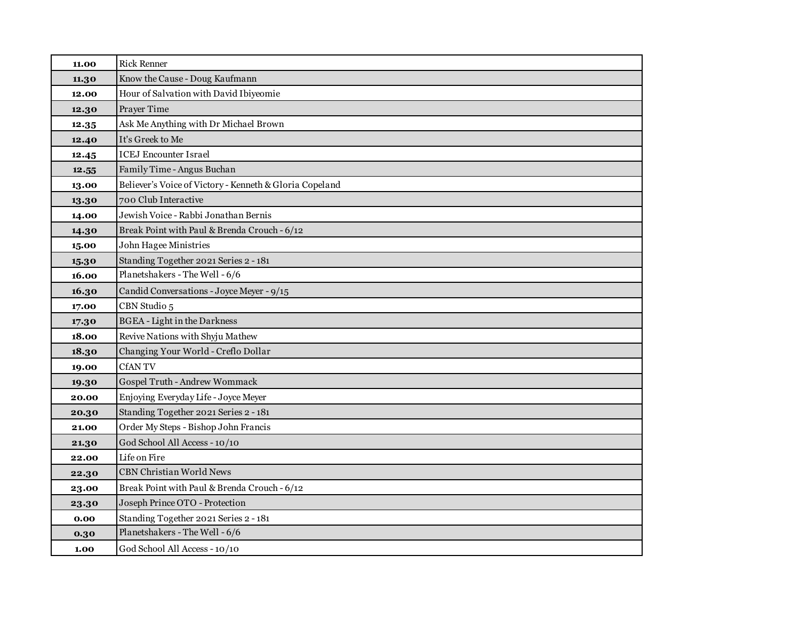| 11.00 | <b>Rick Renner</b>                                      |
|-------|---------------------------------------------------------|
| 11.30 | Know the Cause - Doug Kaufmann                          |
| 12.00 | Hour of Salvation with David Ibiyeomie                  |
| 12.30 | Prayer Time                                             |
| 12.35 | Ask Me Anything with Dr Michael Brown                   |
| 12.40 | It's Greek to Me                                        |
| 12.45 | <b>ICEJ Encounter Israel</b>                            |
| 12.55 | Family Time - Angus Buchan                              |
| 13.00 | Believer's Voice of Victory - Kenneth & Gloria Copeland |
| 13.30 | 700 Club Interactive                                    |
| 14.00 | Jewish Voice - Rabbi Jonathan Bernis                    |
| 14.30 | Break Point with Paul & Brenda Crouch - 6/12            |
| 15.00 | John Hagee Ministries                                   |
| 15.30 | Standing Together 2021 Series 2 - 181                   |
| 16.00 | Planetshakers - The Well - 6/6                          |
| 16.30 | Candid Conversations - Joyce Meyer - 9/15               |
| 17.00 | CBN Studio 5                                            |
| 17.30 | <b>BGEA</b> - Light in the Darkness                     |
| 18.00 | Revive Nations with Shyju Mathew                        |
| 18.30 | Changing Your World - Creflo Dollar                     |
| 19.00 | <b>CfANTV</b>                                           |
| 19.30 | Gospel Truth - Andrew Wommack                           |
| 20.00 | Enjoying Everyday Life - Joyce Meyer                    |
| 20.30 | Standing Together 2021 Series 2 - 181                   |
| 21.00 | Order My Steps - Bishop John Francis                    |
| 21.30 | God School All Access - 10/10                           |
| 22.00 | Life on Fire                                            |
| 22.30 | <b>CBN Christian World News</b>                         |
| 23.00 | Break Point with Paul & Brenda Crouch - 6/12            |
| 23.30 | Joseph Prince OTO - Protection                          |
| 0.00  | Standing Together 2021 Series 2 - 181                   |
| 0.30  | Planetshakers - The Well - 6/6                          |
| 1.00  | God School All Access - 10/10                           |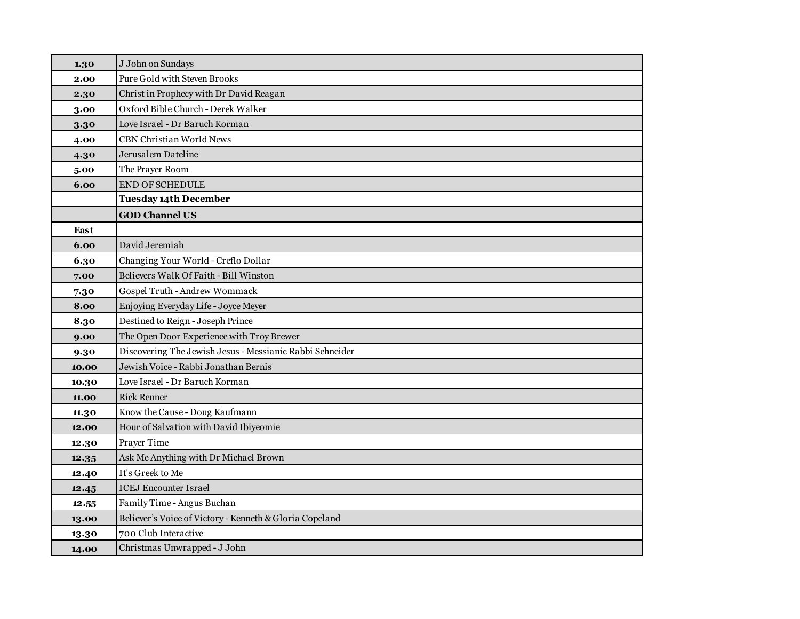| 1.30  | J John on Sundays                                        |
|-------|----------------------------------------------------------|
| 2.00  | Pure Gold with Steven Brooks                             |
| 2.30  | Christ in Prophecy with Dr David Reagan                  |
| 3.00  | Oxford Bible Church - Derek Walker                       |
| 3.30  | Love Israel - Dr Baruch Korman                           |
| 4.00  | <b>CBN Christian World News</b>                          |
| 4.30  | Jerusalem Dateline                                       |
| 5.00  | The Prayer Room                                          |
| 6.00  | <b>END OF SCHEDULE</b>                                   |
|       | <b>Tuesday 14th December</b>                             |
|       | <b>GOD Channel US</b>                                    |
| East  |                                                          |
| 6.00  | David Jeremiah                                           |
| 6.30  | Changing Your World - Creflo Dollar                      |
| 7.00  | Believers Walk Of Faith - Bill Winston                   |
| 7.30  | Gospel Truth - Andrew Wommack                            |
| 8.00  | Enjoying Everyday Life - Joyce Meyer                     |
| 8.30  | Destined to Reign - Joseph Prince                        |
| 9.00  | The Open Door Experience with Troy Brewer                |
| 9.30  | Discovering The Jewish Jesus - Messianic Rabbi Schneider |
| 10.00 | Jewish Voice - Rabbi Jonathan Bernis                     |
| 10.30 | Love Israel - Dr Baruch Korman                           |
| 11.00 | <b>Rick Renner</b>                                       |
| 11.30 | Know the Cause - Doug Kaufmann                           |
| 12.00 | Hour of Salvation with David Ibiyeomie                   |
| 12.30 | Prayer Time                                              |
| 12.35 | Ask Me Anything with Dr Michael Brown                    |
| 12.40 | It's Greek to Me                                         |
| 12.45 | <b>ICEJ</b> Encounter Israel                             |
| 12.55 | Family Time - Angus Buchan                               |
| 13.00 | Believer's Voice of Victory - Kenneth & Gloria Copeland  |
| 13.30 | 700 Club Interactive                                     |
| 14.00 | Christmas Unwrapped - J John                             |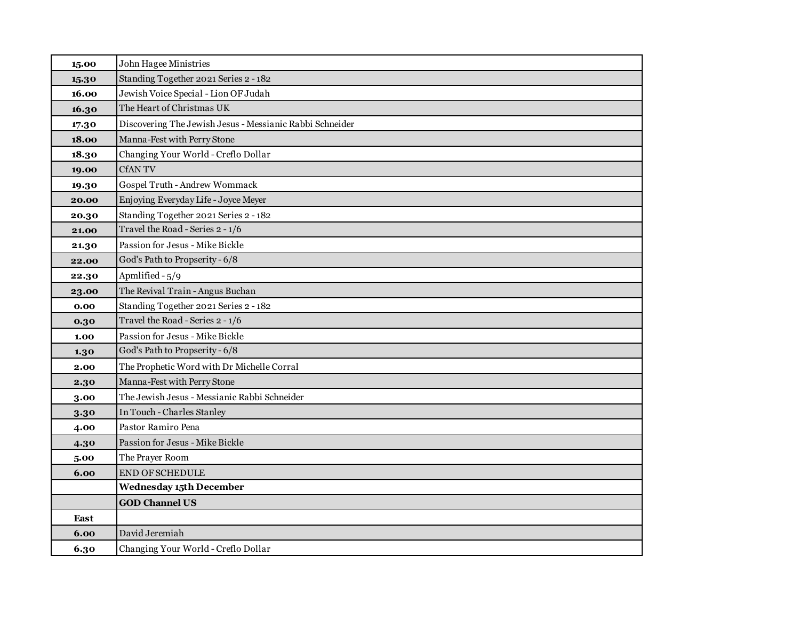| 15.00 | John Hagee Ministries                                    |
|-------|----------------------------------------------------------|
| 15.30 | Standing Together 2021 Series 2 - 182                    |
| 16.00 | Jewish Voice Special - Lion OF Judah                     |
| 16.30 | The Heart of Christmas UK                                |
| 17.30 | Discovering The Jewish Jesus - Messianic Rabbi Schneider |
| 18.00 | Manna-Fest with Perry Stone                              |
| 18.30 | Changing Your World - Creflo Dollar                      |
| 19.00 | <b>CfANTV</b>                                            |
| 19.30 | Gospel Truth - Andrew Wommack                            |
| 20.00 | Enjoying Everyday Life - Joyce Meyer                     |
| 20.30 | Standing Together 2021 Series 2 - 182                    |
| 21.00 | Travel the Road - Series 2 - 1/6                         |
| 21.30 | Passion for Jesus - Mike Bickle                          |
| 22.00 | God's Path to Propserity - 6/8                           |
| 22.30 | Apmlified - 5/9                                          |
| 23.00 | The Revival Train - Angus Buchan                         |
| 0.00  | Standing Together 2021 Series 2 - 182                    |
| 0.30  | Travel the Road - Series 2 - 1/6                         |
| 1.00  | Passion for Jesus - Mike Bickle                          |
| 1.30  | God's Path to Propserity - 6/8                           |
| 2.00  | The Prophetic Word with Dr Michelle Corral               |
| 2.30  | Manna-Fest with Perry Stone                              |
| 3.00  | The Jewish Jesus - Messianic Rabbi Schneider             |
| 3.30  | In Touch - Charles Stanley                               |
| 4.00  | Pastor Ramiro Pena                                       |
| 4.30  | Passion for Jesus - Mike Bickle                          |
| 5.00  | The Prayer Room                                          |
| 6.00  | <b>END OF SCHEDULE</b>                                   |
|       | <b>Wednesday 15th December</b>                           |
|       | <b>GOD Channel US</b>                                    |
| East  |                                                          |
| 6.00  | David Jeremiah                                           |
| 6.30  | Changing Your World - Creflo Dollar                      |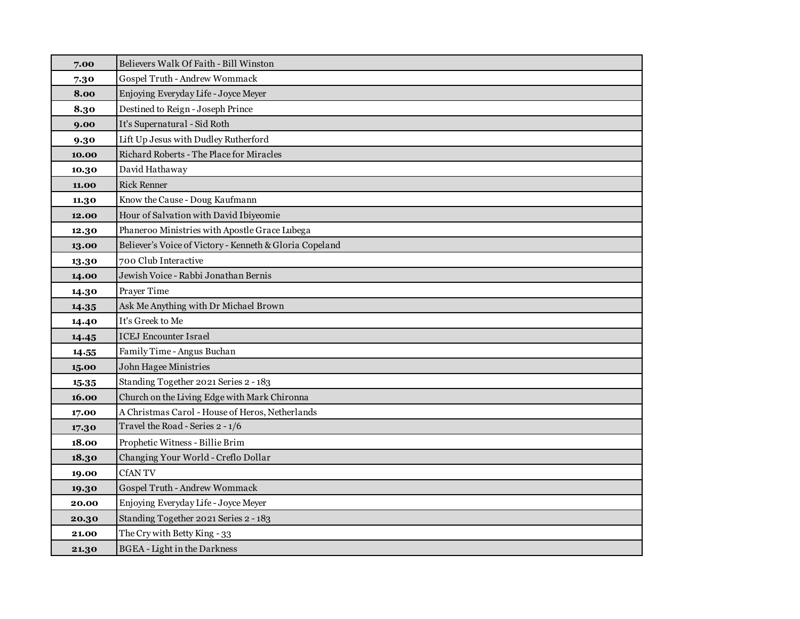| 7.00  | Believers Walk Of Faith - Bill Winston                  |
|-------|---------------------------------------------------------|
| 7.30  | Gospel Truth - Andrew Wommack                           |
| 8.00  | Enjoying Everyday Life - Joyce Meyer                    |
| 8.30  | Destined to Reign - Joseph Prince                       |
| 9.00  | It's Supernatural - Sid Roth                            |
| 9.30  | Lift Up Jesus with Dudley Rutherford                    |
| 10.00 | Richard Roberts - The Place for Miracles                |
| 10.30 | David Hathaway                                          |
| 11.00 | <b>Rick Renner</b>                                      |
| 11.30 | Know the Cause - Doug Kaufmann                          |
| 12.00 | Hour of Salvation with David Ibiyeomie                  |
| 12.30 | Phaneroo Ministries with Apostle Grace Lubega           |
| 13.00 | Believer's Voice of Victory - Kenneth & Gloria Copeland |
| 13.30 | 700 Club Interactive                                    |
| 14.00 | Jewish Voice - Rabbi Jonathan Bernis                    |
| 14.30 | Prayer Time                                             |
| 14.35 | Ask Me Anything with Dr Michael Brown                   |
| 14.40 | It's Greek to Me                                        |
| 14.45 | <b>ICEJ Encounter Israel</b>                            |
| 14.55 | Family Time - Angus Buchan                              |
| 15.00 | John Hagee Ministries                                   |
| 15.35 | Standing Together 2021 Series 2 - 183                   |
| 16.00 | Church on the Living Edge with Mark Chironna            |
| 17.00 | A Christmas Carol - House of Heros, Netherlands         |
| 17.30 | Travel the Road - Series 2 - 1/6                        |
| 18.00 | Prophetic Witness - Billie Brim                         |
| 18.30 | Changing Your World - Creflo Dollar                     |
| 19.00 | <b>CfANTV</b>                                           |
| 19.30 | Gospel Truth - Andrew Wommack                           |
| 20.00 | Enjoying Everyday Life - Joyce Meyer                    |
| 20.30 | Standing Together 2021 Series 2 - 183                   |
| 21.00 | The Cry with Betty King - 33                            |
| 21.30 | <b>BGEA</b> - Light in the Darkness                     |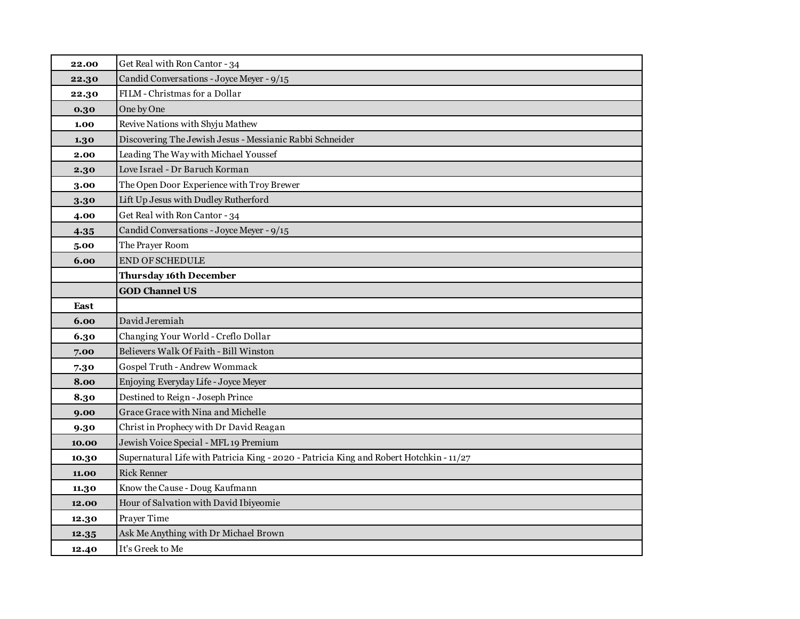| 22.00 | Get Real with Ron Cantor - 34                                                           |
|-------|-----------------------------------------------------------------------------------------|
| 22.30 | Candid Conversations - Joyce Meyer - 9/15                                               |
| 22.30 | FILM - Christmas for a Dollar                                                           |
| 0.30  | One by One                                                                              |
| 1.00  | Revive Nations with Shyju Mathew                                                        |
| 1.30  | Discovering The Jewish Jesus - Messianic Rabbi Schneider                                |
| 2.00  | Leading The Way with Michael Youssef                                                    |
| 2.30  | Love Israel - Dr Baruch Korman                                                          |
| 3.00  | The Open Door Experience with Troy Brewer                                               |
| 3.30  | Lift Up Jesus with Dudley Rutherford                                                    |
| 4.00  | Get Real with Ron Cantor - 34                                                           |
| 4.35  | Candid Conversations - Joyce Meyer - 9/15                                               |
| 5.00  | The Prayer Room                                                                         |
| 6.00  | END OF SCHEDULE                                                                         |
|       | <b>Thursday 16th December</b>                                                           |
|       | <b>GOD Channel US</b>                                                                   |
| East  |                                                                                         |
| 6.00  | David Jeremiah                                                                          |
| 6.30  | Changing Your World - Creflo Dollar                                                     |
| 7.00  | Believers Walk Of Faith - Bill Winston                                                  |
| 7.30  | Gospel Truth - Andrew Wommack                                                           |
| 8.00  | Enjoying Everyday Life - Joyce Meyer                                                    |
| 8.30  | Destined to Reign - Joseph Prince                                                       |
| 9.00  | Grace Grace with Nina and Michelle                                                      |
| 9.30  | Christ in Prophecy with Dr David Reagan                                                 |
| 10.00 | Jewish Voice Special - MFL 19 Premium                                                   |
| 10.30 | Supernatural Life with Patricia King - 2020 - Patricia King and Robert Hotchkin - 11/27 |
| 11.00 | <b>Rick Renner</b>                                                                      |
| 11.30 | Know the Cause - Doug Kaufmann                                                          |
| 12.00 | Hour of Salvation with David Ibiyeomie                                                  |
| 12.30 | Prayer Time                                                                             |
| 12.35 | Ask Me Anything with Dr Michael Brown                                                   |
| 12.40 | It's Greek to Me                                                                        |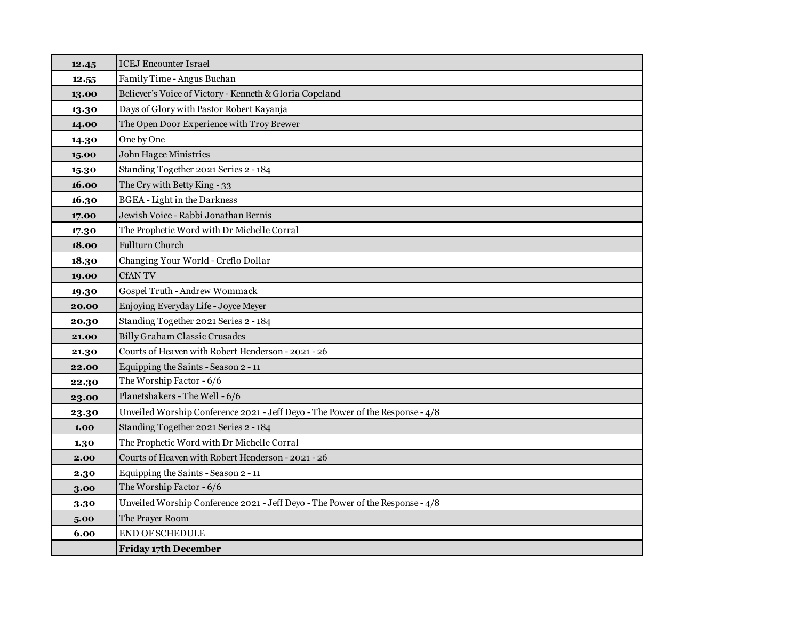| 12.45 | <b>ICEJ</b> Encounter Israel                                                   |
|-------|--------------------------------------------------------------------------------|
| 12.55 | Family Time - Angus Buchan                                                     |
| 13.00 | Believer's Voice of Victory - Kenneth & Gloria Copeland                        |
| 13.30 | Days of Glory with Pastor Robert Kayanja                                       |
| 14.00 | The Open Door Experience with Troy Brewer                                      |
| 14.30 | One by One                                                                     |
| 15.00 | John Hagee Ministries                                                          |
| 15.30 | Standing Together 2021 Series 2 - 184                                          |
| 16.00 | The Cry with Betty King - 33                                                   |
| 16.30 | <b>BGEA</b> - Light in the Darkness                                            |
| 17.00 | Jewish Voice - Rabbi Jonathan Bernis                                           |
| 17.30 | The Prophetic Word with Dr Michelle Corral                                     |
| 18.00 | Fullturn Church                                                                |
| 18.30 | Changing Your World - Creflo Dollar                                            |
| 19.00 | <b>CfANTV</b>                                                                  |
| 19.30 | Gospel Truth - Andrew Wommack                                                  |
| 20.00 | Enjoying Everyday Life - Joyce Meyer                                           |
| 20.30 | Standing Together 2021 Series 2 - 184                                          |
| 21.00 | Billy Graham Classic Crusades                                                  |
| 21.30 | Courts of Heaven with Robert Henderson - 2021 - 26                             |
| 22.00 | Equipping the Saints - Season 2 - 11                                           |
| 22.30 | The Worship Factor - 6/6                                                       |
| 23.00 | Planetshakers - The Well - 6/6                                                 |
| 23.30 | Unveiled Worship Conference 2021 - Jeff Deyo - The Power of the Response - 4/8 |
| 1.00  | Standing Together 2021 Series 2 - 184                                          |
| 1.30  | The Prophetic Word with Dr Michelle Corral                                     |
| 2.00  | Courts of Heaven with Robert Henderson - 2021 - 26                             |
| 2.30  | Equipping the Saints - Season 2 - 11                                           |
| 3.00  | The Worship Factor - 6/6                                                       |
| 3.30  | Unveiled Worship Conference 2021 - Jeff Deyo - The Power of the Response - 4/8 |
| 5.00  | The Prayer Room                                                                |
| 6.00  | <b>END OF SCHEDULE</b>                                                         |
|       | <b>Friday 17th December</b>                                                    |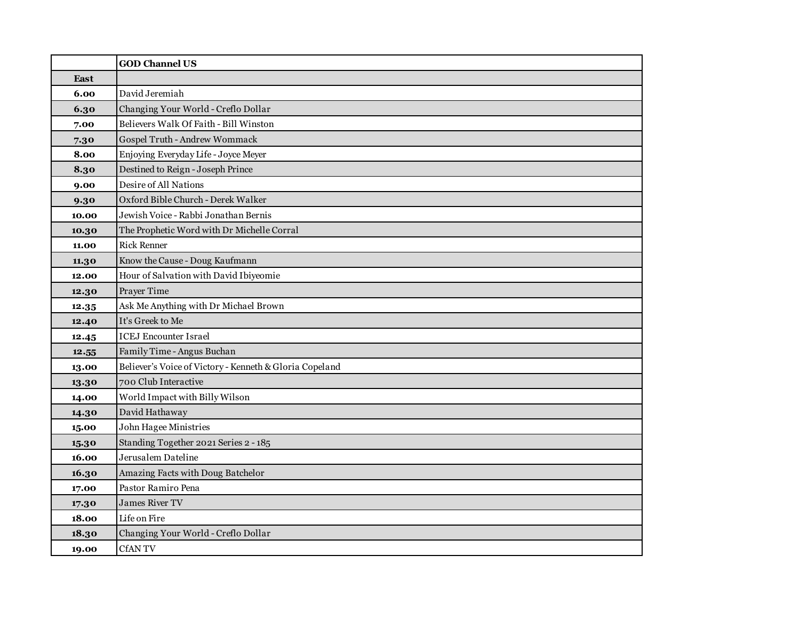|             | <b>GOD Channel US</b>                                   |
|-------------|---------------------------------------------------------|
| <b>East</b> |                                                         |
| 6.00        | David Jeremiah                                          |
| 6.30        | Changing Your World - Creflo Dollar                     |
| 7.00        | Believers Walk Of Faith - Bill Winston                  |
| 7.30        | Gospel Truth - Andrew Wommack                           |
| 8.00        | Enjoying Everyday Life - Joyce Meyer                    |
| 8.30        | Destined to Reign - Joseph Prince                       |
| 9.00        | Desire of All Nations                                   |
| 9.30        | Oxford Bible Church - Derek Walker                      |
| 10.00       | Jewish Voice - Rabbi Jonathan Bernis                    |
| 10.30       | The Prophetic Word with Dr Michelle Corral              |
| 11.00       | <b>Rick Renner</b>                                      |
| 11.30       | Know the Cause - Doug Kaufmann                          |
| 12.00       | Hour of Salvation with David Ibiyeomie                  |
| 12.30       | Prayer Time                                             |
| 12.35       | Ask Me Anything with Dr Michael Brown                   |
| 12.40       | It's Greek to Me                                        |
| 12.45       | <b>ICEJ Encounter Israel</b>                            |
| 12.55       | Family Time - Angus Buchan                              |
| 13.00       | Believer's Voice of Victory - Kenneth & Gloria Copeland |
| 13.30       | 700 Club Interactive                                    |
| 14.00       | World Impact with Billy Wilson                          |
| 14.30       | David Hathaway                                          |
| 15.00       | John Hagee Ministries                                   |
| 15.30       | Standing Together 2021 Series 2 - 185                   |
| 16.00       | Jerusalem Dateline                                      |
| 16.30       | Amazing Facts with Doug Batchelor                       |
| 17.00       | Pastor Ramiro Pena                                      |
| 17.30       | <b>James River TV</b>                                   |
| 18.00       | Life on Fire                                            |
| 18.30       | Changing Your World - Creflo Dollar                     |
| 19.00       | <b>CfANTV</b>                                           |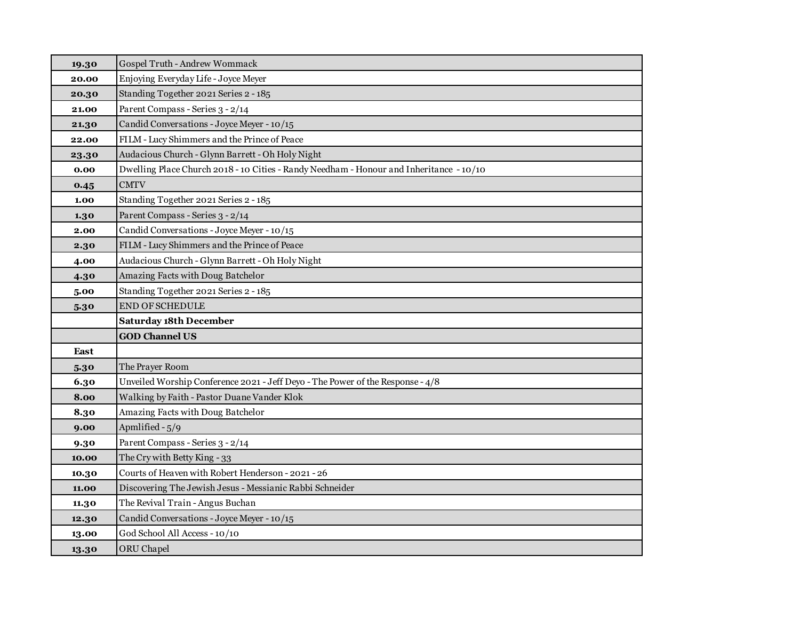| 19.30 | Gospel Truth - Andrew Wommack                                                           |
|-------|-----------------------------------------------------------------------------------------|
| 20.00 | Enjoying Everyday Life - Joyce Meyer                                                    |
| 20.30 | Standing Together 2021 Series 2 - 185                                                   |
| 21.00 | Parent Compass - Series 3 - 2/14                                                        |
| 21.30 | Candid Conversations - Joyce Meyer - 10/15                                              |
| 22.00 | FILM - Lucy Shimmers and the Prince of Peace                                            |
| 23.30 | Audacious Church - Glynn Barrett - Oh Holy Night                                        |
| 0.00  | Dwelling Place Church 2018 - 10 Cities - Randy Needham - Honour and Inheritance - 10/10 |
| 0.45  | <b>CMTV</b>                                                                             |
| 1.00  | Standing Together 2021 Series 2 - 185                                                   |
| 1.30  | Parent Compass - Series 3 - 2/14                                                        |
| 2.00  | Candid Conversations - Joyce Meyer - 10/15                                              |
| 2.30  | FILM - Lucy Shimmers and the Prince of Peace                                            |
| 4.00  | Audacious Church - Glynn Barrett - Oh Holy Night                                        |
| 4.30  | Amazing Facts with Doug Batchelor                                                       |
| 5.00  | Standing Together 2021 Series 2 - 185                                                   |
| 5.30  | END OF SCHEDULE                                                                         |
|       | <b>Saturday 18th December</b>                                                           |
|       | <b>GOD Channel US</b>                                                                   |
| East  |                                                                                         |
| 5.30  | The Prayer Room                                                                         |
| 6.30  | Unveiled Worship Conference 2021 - Jeff Deyo - The Power of the Response - 4/8          |
| 8.00  | Walking by Faith - Pastor Duane Vander Klok                                             |
| 8.30  | Amazing Facts with Doug Batchelor                                                       |
| 9.00  | Apmlified - 5/9                                                                         |
| 9.30  | Parent Compass - Series 3 - 2/14                                                        |
| 10.00 | The Cry with Betty King - 33                                                            |
| 10.30 | Courts of Heaven with Robert Henderson - 2021 - 26                                      |
| 11.00 | Discovering The Jewish Jesus - Messianic Rabbi Schneider                                |
| 11.30 | The Revival Train - Angus Buchan                                                        |
| 12.30 | Candid Conversations - Joyce Meyer - 10/15                                              |
| 13.00 | God School All Access - 10/10                                                           |
| 13.30 | <b>ORU</b> Chapel                                                                       |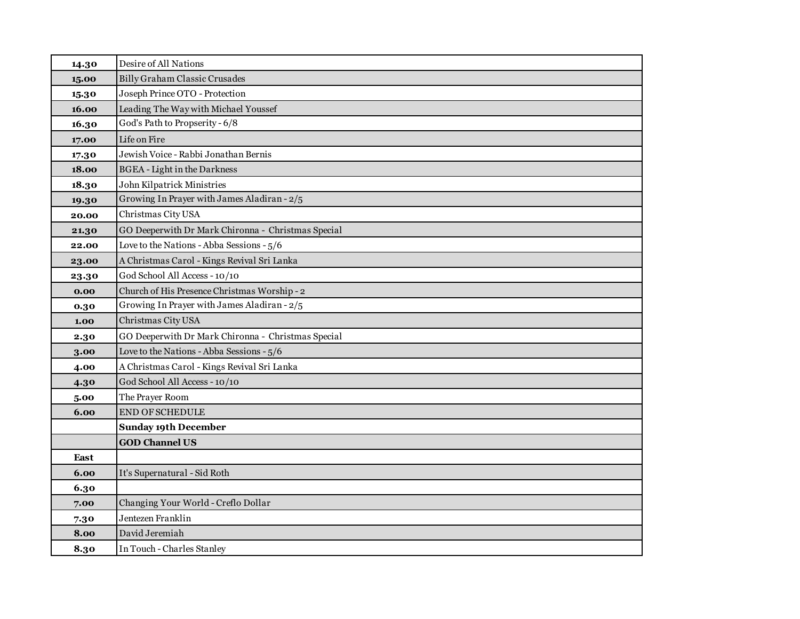| 14.30 | Desire of All Nations                              |
|-------|----------------------------------------------------|
| 15.00 | Billy Graham Classic Crusades                      |
| 15.30 | Joseph Prince OTO - Protection                     |
| 16.00 | Leading The Way with Michael Youssef               |
| 16.30 | God's Path to Propserity - 6/8                     |
| 17.00 | Life on Fire                                       |
| 17.30 | Jewish Voice - Rabbi Jonathan Bernis               |
| 18.00 | <b>BGEA</b> - Light in the Darkness                |
| 18.30 | John Kilpatrick Ministries                         |
| 19.30 | Growing In Prayer with James Aladiran - 2/5        |
| 20.00 | Christmas City USA                                 |
| 21.30 | GO Deeperwith Dr Mark Chironna - Christmas Special |
| 22.00 | Love to the Nations - Abba Sessions - 5/6          |
| 23.00 | A Christmas Carol - Kings Revival Sri Lanka        |
| 23.30 | God School All Access - 10/10                      |
| 0.00  | Church of His Presence Christmas Worship - 2       |
| 0.30  | Growing In Prayer with James Aladiran - 2/5        |
| 1.00  | Christmas City USA                                 |
| 2.30  | GO Deeperwith Dr Mark Chironna - Christmas Special |
| 3.00  | Love to the Nations - Abba Sessions - 5/6          |
| 4.00  | A Christmas Carol - Kings Revival Sri Lanka        |
| 4.30  | God School All Access - 10/10                      |
| 5.00  | The Prayer Room                                    |
| 6.00  | <b>END OF SCHEDULE</b>                             |
|       | <b>Sunday 19th December</b>                        |
|       | <b>GOD Channel US</b>                              |
| East  |                                                    |
| 6.00  | It's Supernatural - Sid Roth                       |
| 6.30  |                                                    |
| 7.00  | Changing Your World - Creflo Dollar                |
| 7.30  | Jentezen Franklin                                  |
| 8.00  | David Jeremiah                                     |
| 8.30  | In Touch - Charles Stanley                         |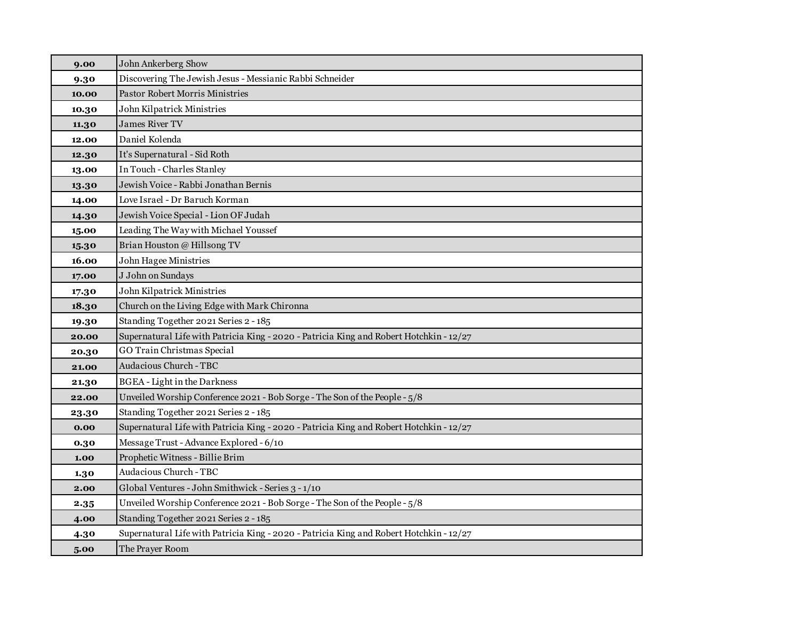| 9.00  | John Ankerberg Show                                                                     |
|-------|-----------------------------------------------------------------------------------------|
| 9.30  | Discovering The Jewish Jesus - Messianic Rabbi Schneider                                |
| 10.00 | Pastor Robert Morris Ministries                                                         |
| 10.30 | John Kilpatrick Ministries                                                              |
| 11.30 | <b>James River TV</b>                                                                   |
| 12.00 | Daniel Kolenda                                                                          |
| 12.30 | It's Supernatural - Sid Roth                                                            |
| 13.00 | In Touch - Charles Stanley                                                              |
| 13.30 | Jewish Voice - Rabbi Jonathan Bernis                                                    |
| 14.00 | Love Israel - Dr Baruch Korman                                                          |
| 14.30 | Jewish Voice Special - Lion OF Judah                                                    |
| 15.00 | Leading The Way with Michael Youssef                                                    |
| 15.30 | Brian Houston @ Hillsong TV                                                             |
| 16.00 | John Hagee Ministries                                                                   |
| 17.00 | J John on Sundays                                                                       |
| 17.30 | John Kilpatrick Ministries                                                              |
| 18.30 | Church on the Living Edge with Mark Chironna                                            |
| 19.30 | Standing Together 2021 Series 2 - 185                                                   |
| 20.00 | Supernatural Life with Patricia King - 2020 - Patricia King and Robert Hotchkin - 12/27 |
| 20.30 | GO Train Christmas Special                                                              |
| 21.00 | Audacious Church - TBC                                                                  |
| 21.30 | <b>BGEA</b> - Light in the Darkness                                                     |
| 22.00 | Unveiled Worship Conference 2021 - Bob Sorge - The Son of the People - 5/8              |
| 23.30 | Standing Together 2021 Series 2 - 185                                                   |
| 0.00  | Supernatural Life with Patricia King - 2020 - Patricia King and Robert Hotchkin - 12/27 |
| 0.30  | Message Trust - Advance Explored - 6/10                                                 |
| 1.00  | Prophetic Witness - Billie Brim                                                         |
| 1.30  | Audacious Church - TBC                                                                  |
| 2.00  | Global Ventures - John Smithwick - Series 3 - 1/10                                      |
| 2.35  | Unveiled Worship Conference 2021 - Bob Sorge - The Son of the People - 5/8              |
| 4.00  | Standing Together 2021 Series 2 - 185                                                   |
| 4.30  | Supernatural Life with Patricia King - 2020 - Patricia King and Robert Hotchkin - 12/27 |
| 5.00  | The Prayer Room                                                                         |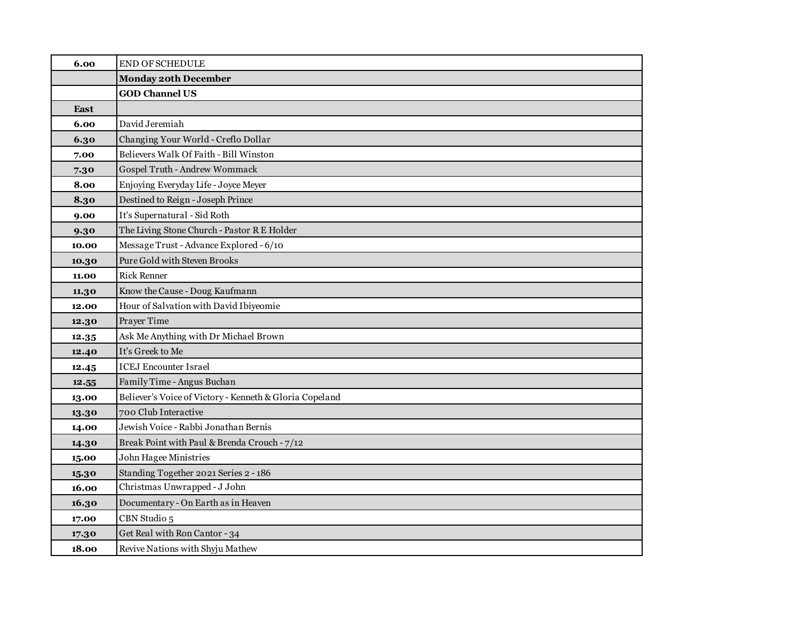| 6.00  | <b>END OF SCHEDULE</b>                                  |
|-------|---------------------------------------------------------|
|       | <b>Monday 20th December</b>                             |
|       | <b>GOD Channel US</b>                                   |
| East  |                                                         |
| 6.00  | David Jeremiah                                          |
| 6.30  | Changing Your World - Creflo Dollar                     |
| 7.00  | Believers Walk Of Faith - Bill Winston                  |
| 7.30  | Gospel Truth - Andrew Wommack                           |
| 8.00  | Enjoying Everyday Life - Joyce Meyer                    |
| 8.30  | Destined to Reign - Joseph Prince                       |
| 9.00  | It's Supernatural - Sid Roth                            |
| 9.30  | The Living Stone Church - Pastor R E Holder             |
| 10.00 | Message Trust - Advance Explored - 6/10                 |
| 10.30 | Pure Gold with Steven Brooks                            |
| 11.00 | <b>Rick Renner</b>                                      |
| 11.30 | Know the Cause - Doug Kaufmann                          |
| 12.00 | Hour of Salvation with David Ibiyeomie                  |
| 12.30 | Prayer Time                                             |
| 12.35 | Ask Me Anything with Dr Michael Brown                   |
| 12.40 | It's Greek to Me                                        |
| 12.45 | <b>ICEJ Encounter Israel</b>                            |
| 12.55 | Family Time - Angus Buchan                              |
| 13.00 | Believer's Voice of Victory - Kenneth & Gloria Copeland |
| 13.30 | 700 Club Interactive                                    |
| 14.00 | Jewish Voice - Rabbi Jonathan Bernis                    |
| 14.30 | Break Point with Paul & Brenda Crouch - 7/12            |
| 15.00 | John Hagee Ministries                                   |
| 15.30 | Standing Together 2021 Series 2 - 186                   |
| 16.00 | Christmas Unwrapped - J John                            |
| 16.30 | Documentary - On Earth as in Heaven                     |
| 17.00 | CBN Studio 5                                            |
| 17.30 | Get Real with Ron Cantor - 34                           |
| 18.00 | Revive Nations with Shyju Mathew                        |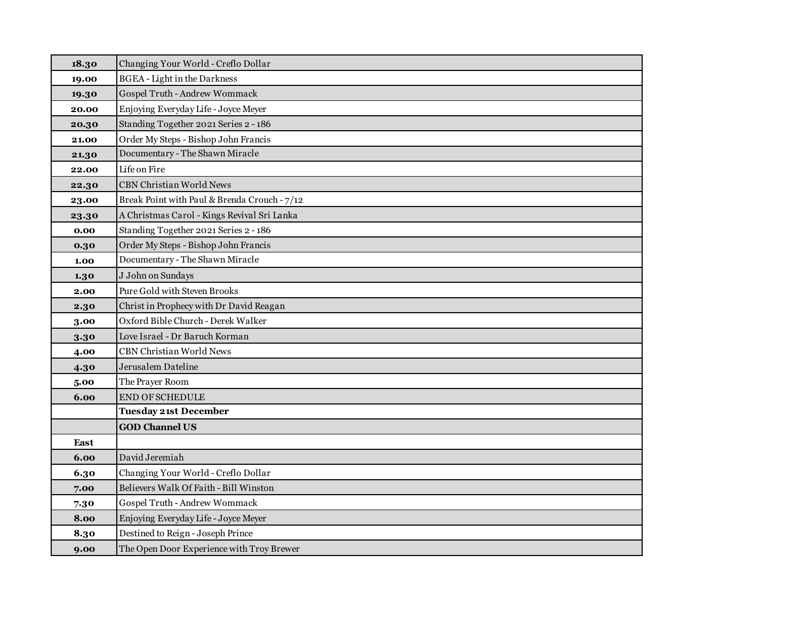| 18.30 | Changing Your World - Creflo Dollar          |
|-------|----------------------------------------------|
| 19.00 | <b>BGEA</b> - Light in the Darkness          |
| 19.30 | Gospel Truth - Andrew Wommack                |
| 20.00 | Enjoying Everyday Life - Joyce Meyer         |
| 20.30 | Standing Together 2021 Series 2 - 186        |
| 21.00 | Order My Steps - Bishop John Francis         |
| 21.30 | Documentary - The Shawn Miracle              |
| 22.00 | Life on Fire                                 |
| 22.30 | <b>CBN Christian World News</b>              |
| 23.00 | Break Point with Paul & Brenda Crouch - 7/12 |
| 23.30 | A Christmas Carol - Kings Revival Sri Lanka  |
| 0.00  | Standing Together 2021 Series 2 - 186        |
| 0.30  | Order My Steps - Bishop John Francis         |
| 1.00  | Documentary - The Shawn Miracle              |
| 1.30  | J John on Sundays                            |
| 2.00  | Pure Gold with Steven Brooks                 |
| 2.30  | Christ in Prophecy with Dr David Reagan      |
| 3.00  | Oxford Bible Church - Derek Walker           |
| 3.30  | Love Israel - Dr Baruch Korman               |
| 4.00  | <b>CBN Christian World News</b>              |
| 4.30  | Jerusalem Dateline                           |
| 5.00  | The Prayer Room                              |
| 6.00  | END OF SCHEDULE                              |
|       | <b>Tuesday 21st December</b>                 |
|       | <b>GOD Channel US</b>                        |
| East  |                                              |
| 6.00  | David Jeremiah                               |
| 6.30  | Changing Your World - Creflo Dollar          |
| 7.00  | Believers Walk Of Faith - Bill Winston       |
| 7.30  | Gospel Truth - Andrew Wommack                |
| 8.00  | Enjoying Everyday Life - Joyce Meyer         |
| 8.30  | Destined to Reign - Joseph Prince            |
| 9.00  | The Open Door Experience with Troy Brewer    |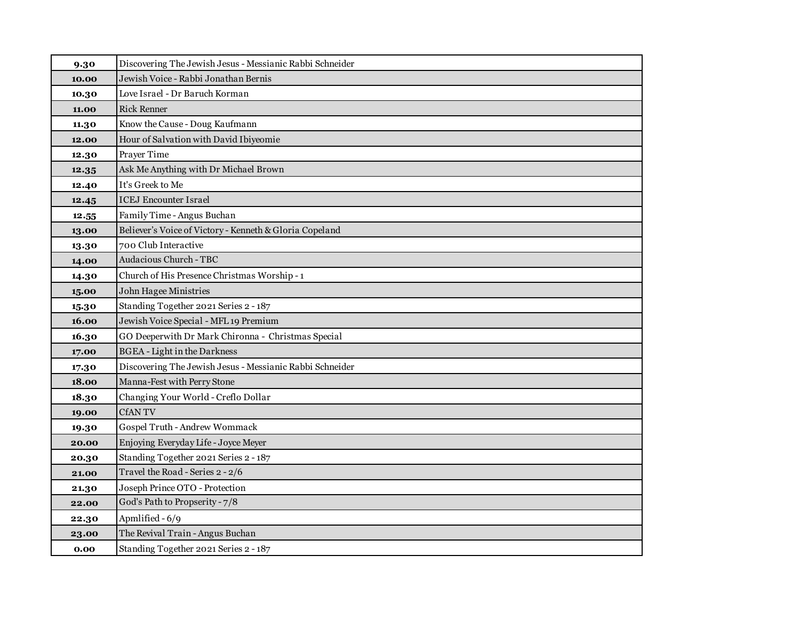| 9.30  | Discovering The Jewish Jesus - Messianic Rabbi Schneider |
|-------|----------------------------------------------------------|
| 10.00 | Jewish Voice - Rabbi Jonathan Bernis                     |
| 10.30 | Love Israel - Dr Baruch Korman                           |
| 11.00 | <b>Rick Renner</b>                                       |
| 11.30 | Know the Cause - Doug Kaufmann                           |
| 12.00 | Hour of Salvation with David Ibiyeomie                   |
| 12.30 | Prayer Time                                              |
| 12.35 | Ask Me Anything with Dr Michael Brown                    |
| 12.40 | It's Greek to Me                                         |
| 12.45 | <b>ICEJ Encounter Israel</b>                             |
| 12.55 | Family Time - Angus Buchan                               |
| 13.00 | Believer's Voice of Victory - Kenneth & Gloria Copeland  |
| 13.30 | 700 Club Interactive                                     |
| 14.00 | Audacious Church - TBC                                   |
| 14.30 | Church of His Presence Christmas Worship - 1             |
| 15.00 | John Hagee Ministries                                    |
| 15.30 | Standing Together 2021 Series 2 - 187                    |
| 16.00 | Jewish Voice Special - MFL 19 Premium                    |
| 16.30 | GO Deeperwith Dr Mark Chironna - Christmas Special       |
| 17.00 | <b>BGEA</b> - Light in the Darkness                      |
| 17.30 | Discovering The Jewish Jesus - Messianic Rabbi Schneider |
| 18.00 | Manna-Fest with Perry Stone                              |
| 18.30 | Changing Your World - Creflo Dollar                      |
| 19.00 | <b>CfANTV</b>                                            |
| 19.30 | Gospel Truth - Andrew Wommack                            |
| 20.00 | Enjoying Everyday Life - Joyce Meyer                     |
| 20.30 | Standing Together 2021 Series 2 - 187                    |
| 21.00 | Travel the Road - Series 2 - 2/6                         |
| 21.30 | Joseph Prince OTO - Protection                           |
| 22.00 | God's Path to Propserity - 7/8                           |
| 22.30 | Apmlified - 6/9                                          |
| 23.00 | The Revival Train - Angus Buchan                         |
| 0.00  | Standing Together 2021 Series 2 - 187                    |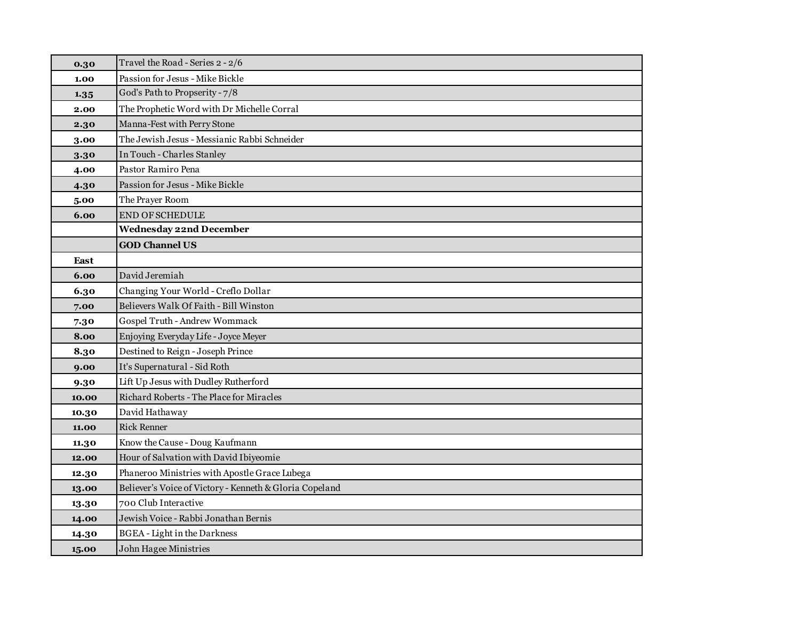| 0.30  | Travel the Road - Series 2 - 2/6                        |
|-------|---------------------------------------------------------|
| 1.00  | Passion for Jesus - Mike Bickle                         |
| 1.35  | God's Path to Propserity - 7/8                          |
| 2.00  | The Prophetic Word with Dr Michelle Corral              |
| 2.30  | Manna-Fest with Perry Stone                             |
| 3.00  | The Jewish Jesus - Messianic Rabbi Schneider            |
| 3.30  | In Touch - Charles Stanley                              |
| 4.00  | Pastor Ramiro Pena                                      |
| 4.30  | Passion for Jesus - Mike Bickle                         |
| 5.00  | The Prayer Room                                         |
| 6.00  | <b>END OF SCHEDULE</b>                                  |
|       | <b>Wednesday 22nd December</b>                          |
|       | <b>GOD Channel US</b>                                   |
| East  |                                                         |
| 6.00  | David Jeremiah                                          |
| 6.30  | Changing Your World - Creflo Dollar                     |
| 7.00  | Believers Walk Of Faith - Bill Winston                  |
| 7.30  | Gospel Truth - Andrew Wommack                           |
| 8.00  | Enjoying Everyday Life - Joyce Meyer                    |
| 8.30  | Destined to Reign - Joseph Prince                       |
| 9.00  | It's Supernatural - Sid Roth                            |
| 9.30  | Lift Up Jesus with Dudley Rutherford                    |
| 10.00 | Richard Roberts - The Place for Miracles                |
| 10.30 | David Hathaway                                          |
| 11.00 | <b>Rick Renner</b>                                      |
| 11.30 | Know the Cause - Doug Kaufmann                          |
| 12.00 | Hour of Salvation with David Ibiyeomie                  |
| 12.30 | Phaneroo Ministries with Apostle Grace Lubega           |
| 13.00 | Believer's Voice of Victory - Kenneth & Gloria Copeland |
| 13.30 | 700 Club Interactive                                    |
| 14.00 | Jewish Voice - Rabbi Jonathan Bernis                    |
| 14.30 | <b>BGEA</b> - Light in the Darkness                     |
| 15.00 | John Hagee Ministries                                   |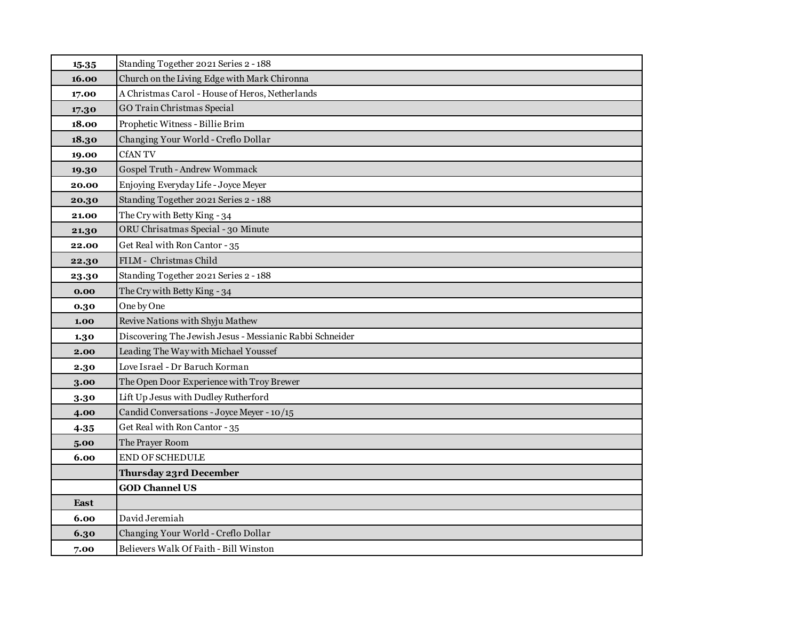| 15.35       | Standing Together 2021 Series 2 - 188                    |
|-------------|----------------------------------------------------------|
| 16.00       | Church on the Living Edge with Mark Chironna             |
| 17.00       | A Christmas Carol - House of Heros, Netherlands          |
| 17.30       | GO Train Christmas Special                               |
| 18.00       | Prophetic Witness - Billie Brim                          |
| 18.30       | Changing Your World - Creflo Dollar                      |
| 19.00       | <b>CfANTV</b>                                            |
| 19.30       | Gospel Truth - Andrew Wommack                            |
| 20.00       | Enjoying Everyday Life - Joyce Meyer                     |
| 20.30       | Standing Together 2021 Series 2 - 188                    |
| 21.00       | The Cry with Betty King - 34                             |
| 21.30       | ORU Chrisatmas Special - 30 Minute                       |
| 22.00       | Get Real with Ron Cantor - 35                            |
| 22.30       | FILM - Christmas Child                                   |
| 23.30       | Standing Together 2021 Series 2 - 188                    |
| 0.00        | The Cry with Betty King - 34                             |
| 0.30        | One by One                                               |
| 1.00        | Revive Nations with Shyju Mathew                         |
| 1.30        | Discovering The Jewish Jesus - Messianic Rabbi Schneider |
| 2.00        | Leading The Way with Michael Youssef                     |
| 2.30        | Love Israel - Dr Baruch Korman                           |
| 3.00        | The Open Door Experience with Troy Brewer                |
| 3.30        | Lift Up Jesus with Dudley Rutherford                     |
| 4.00        | Candid Conversations - Joyce Meyer - 10/15               |
| 4.35        | Get Real with Ron Cantor - 35                            |
| 5.00        | The Prayer Room                                          |
| 6.00        | <b>END OF SCHEDULE</b>                                   |
|             | Thursday 23rd December                                   |
|             | <b>GOD Channel US</b>                                    |
| <b>East</b> |                                                          |
| 6.00        | David Jeremiah                                           |
| 6.30        | Changing Your World - Creflo Dollar                      |
| 7.00        | Believers Walk Of Faith - Bill Winston                   |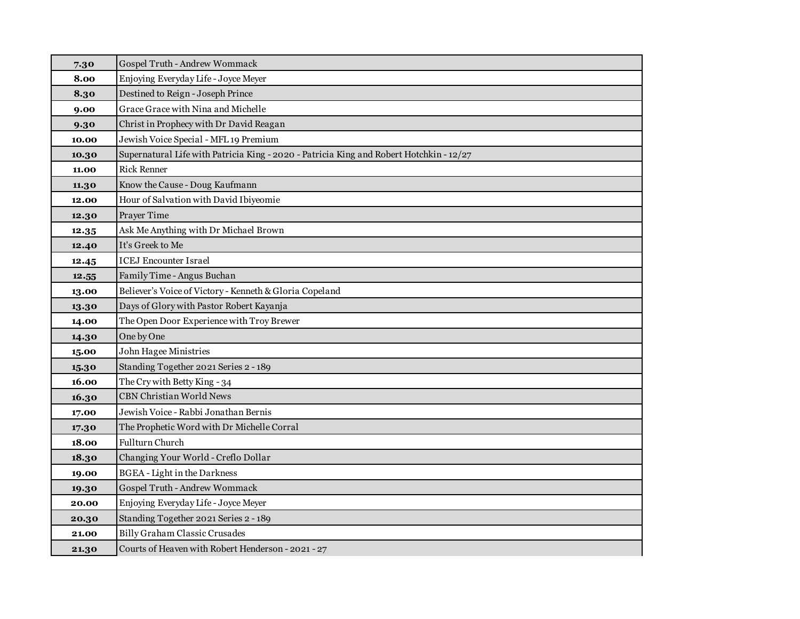| 7.30  | Gospel Truth - Andrew Wommack                                                           |
|-------|-----------------------------------------------------------------------------------------|
| 8.00  | Enjoying Everyday Life - Joyce Meyer                                                    |
| 8.30  | Destined to Reign - Joseph Prince                                                       |
| 9.00  | Grace Grace with Nina and Michelle                                                      |
| 9.30  | Christ in Prophecy with Dr David Reagan                                                 |
| 10.00 | Jewish Voice Special - MFL 19 Premium                                                   |
| 10.30 | Supernatural Life with Patricia King - 2020 - Patricia King and Robert Hotchkin - 12/27 |
| 11.00 | <b>Rick Renner</b>                                                                      |
| 11.30 | Know the Cause - Doug Kaufmann                                                          |
| 12.00 | Hour of Salvation with David Ibiyeomie                                                  |
| 12.30 | Prayer Time                                                                             |
| 12.35 | Ask Me Anything with Dr Michael Brown                                                   |
| 12.40 | It's Greek to Me                                                                        |
| 12.45 | <b>ICEJ</b> Encounter Israel                                                            |
| 12.55 | Family Time - Angus Buchan                                                              |
| 13.00 | Believer's Voice of Victory - Kenneth & Gloria Copeland                                 |
| 13.30 | Days of Glory with Pastor Robert Kayanja                                                |
| 14.00 | The Open Door Experience with Troy Brewer                                               |
| 14.30 | One by One                                                                              |
| 15.00 | John Hagee Ministries                                                                   |
| 15.30 | Standing Together 2021 Series 2 - 189                                                   |
| 16.00 | The Cry with Betty King - 34                                                            |
| 16.30 | <b>CBN Christian World News</b>                                                         |
| 17.00 | Jewish Voice - Rabbi Jonathan Bernis                                                    |
| 17.30 | The Prophetic Word with Dr Michelle Corral                                              |
| 18.00 | Fullturn Church                                                                         |
| 18.30 | Changing Your World - Creflo Dollar                                                     |
| 19.00 | <b>BGEA</b> - Light in the Darkness                                                     |
| 19.30 | Gospel Truth - Andrew Wommack                                                           |
| 20.00 | Enjoying Everyday Life - Joyce Meyer                                                    |
| 20.30 | Standing Together 2021 Series 2 - 189                                                   |
| 21.00 | <b>Billy Graham Classic Crusades</b>                                                    |
| 21.30 | Courts of Heaven with Robert Henderson - 2021 - 27                                      |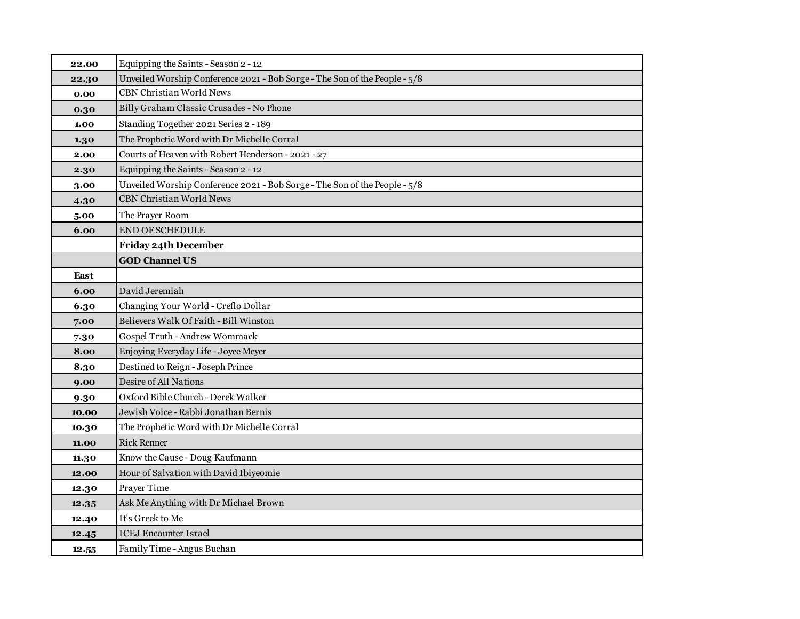| 22.00 | Equipping the Saints - Season 2 - 12                                       |
|-------|----------------------------------------------------------------------------|
| 22.30 | Unveiled Worship Conference 2021 - Bob Sorge - The Son of the People - 5/8 |
| 0.00  | <b>CBN Christian World News</b>                                            |
| 0.30  | Billy Graham Classic Crusades - No Phone                                   |
| 1.00  | Standing Together 2021 Series 2 - 189                                      |
| 1.30  | The Prophetic Word with Dr Michelle Corral                                 |
| 2.00  | Courts of Heaven with Robert Henderson - 2021 - 27                         |
| 2.30  | Equipping the Saints - Season 2 - 12                                       |
| 3.00  | Unveiled Worship Conference 2021 - Bob Sorge - The Son of the People - 5/8 |
| 4.30  | <b>CBN Christian World News</b>                                            |
| 5.00  | The Prayer Room                                                            |
| 6.00  | <b>END OF SCHEDULE</b>                                                     |
|       | Friday 24th December                                                       |
|       | <b>GOD Channel US</b>                                                      |
| East  |                                                                            |
| 6.00  | David Jeremiah                                                             |
| 6.30  | Changing Your World - Creflo Dollar                                        |
| 7.00  | Believers Walk Of Faith - Bill Winston                                     |
| 7.30  | Gospel Truth - Andrew Wommack                                              |
| 8.00  | Enjoying Everyday Life - Joyce Meyer                                       |
| 8.30  | Destined to Reign - Joseph Prince                                          |
| 9.00  | Desire of All Nations                                                      |
| 9.30  | Oxford Bible Church - Derek Walker                                         |
| 10.00 | Jewish Voice - Rabbi Jonathan Bernis                                       |
| 10.30 | The Prophetic Word with Dr Michelle Corral                                 |
| 11.00 | <b>Rick Renner</b>                                                         |
| 11.30 | Know the Cause - Doug Kaufmann                                             |
| 12.00 | Hour of Salvation with David Ibiyeomie                                     |
| 12.30 | Prayer Time                                                                |
| 12.35 | Ask Me Anything with Dr Michael Brown                                      |
| 12.40 | It's Greek to Me                                                           |
| 12.45 | <b>ICEJ Encounter Israel</b>                                               |
| 12.55 | Family Time - Angus Buchan                                                 |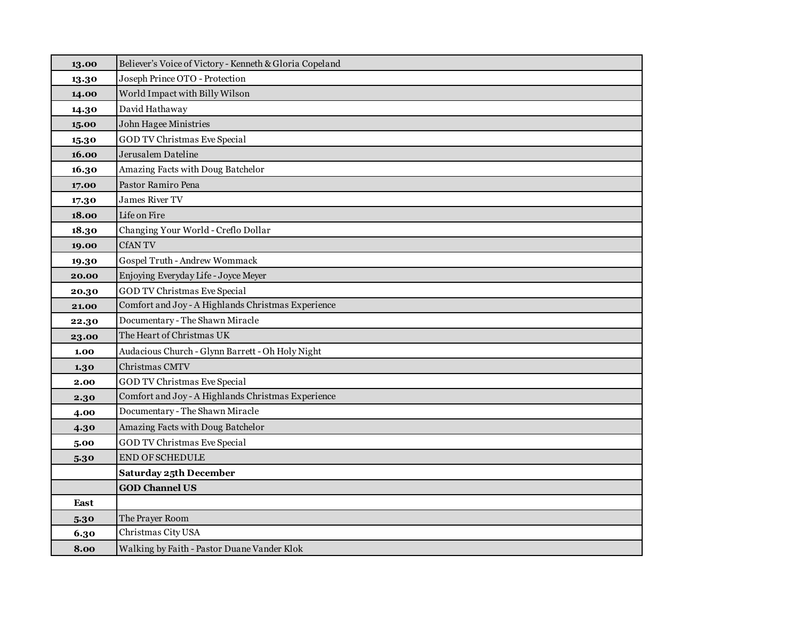| 13.00 | Believer's Voice of Victory - Kenneth & Gloria Copeland |
|-------|---------------------------------------------------------|
| 13.30 | Joseph Prince OTO - Protection                          |
| 14.00 | World Impact with Billy Wilson                          |
| 14.30 | David Hathaway                                          |
| 15.00 | <b>John Hagee Ministries</b>                            |
| 15.30 | <b>GOD TV Christmas Eve Special</b>                     |
| 16.00 | Jerusalem Dateline                                      |
| 16.30 | Amazing Facts with Doug Batchelor                       |
| 17.00 | Pastor Ramiro Pena                                      |
| 17.30 | <b>James River TV</b>                                   |
| 18.00 | Life on Fire                                            |
| 18.30 | Changing Your World - Creflo Dollar                     |
| 19.00 | <b>CfANTV</b>                                           |
| 19.30 | Gospel Truth - Andrew Wommack                           |
| 20.00 | Enjoying Everyday Life - Joyce Meyer                    |
| 20.30 | <b>GOD TV Christmas Eve Special</b>                     |
| 21.00 | Comfort and Joy - A Highlands Christmas Experience      |
| 22.30 | Documentary - The Shawn Miracle                         |
| 23.00 | The Heart of Christmas UK                               |
| 1.00  | Audacious Church - Glynn Barrett - Oh Holy Night        |
| 1.30  | Christmas CMTV                                          |
| 2.00  | GOD TV Christmas Eve Special                            |
| 2.30  | Comfort and Joy - A Highlands Christmas Experience      |
| 4.00  | Documentary - The Shawn Miracle                         |
| 4.30  | Amazing Facts with Doug Batchelor                       |
| 5.00  | <b>GOD TV Christmas Eve Special</b>                     |
| 5.30  | <b>END OF SCHEDULE</b>                                  |
|       | <b>Saturday 25th December</b>                           |
|       | <b>GOD Channel US</b>                                   |
| East  |                                                         |
| 5.30  | The Prayer Room                                         |
| 6.30  | Christmas City USA                                      |
| 8.00  | Walking by Faith - Pastor Duane Vander Klok             |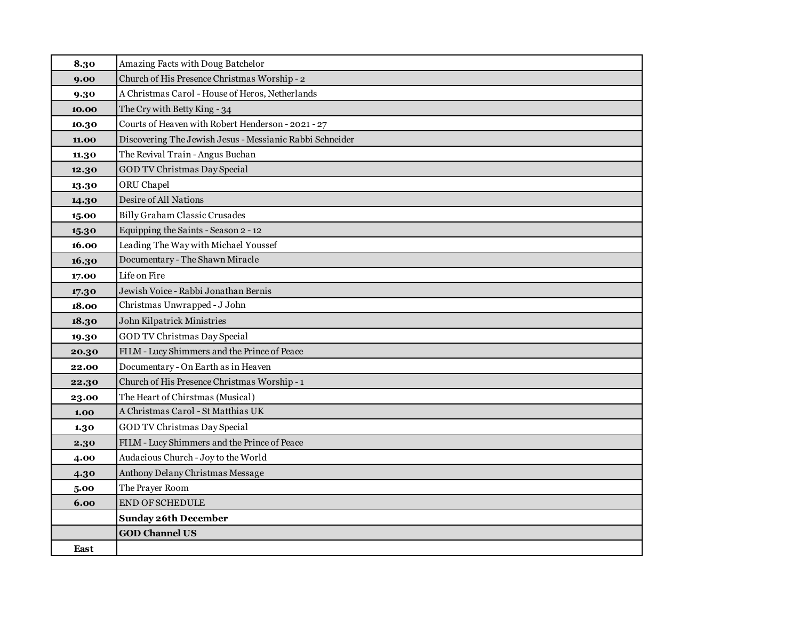| 8.30  | Amazing Facts with Doug Batchelor                        |
|-------|----------------------------------------------------------|
| 9.00  | Church of His Presence Christmas Worship - 2             |
| 9.30  | A Christmas Carol - House of Heros, Netherlands          |
| 10.00 | The Cry with Betty King - 34                             |
| 10.30 | Courts of Heaven with Robert Henderson - 2021 - 27       |
| 11.00 | Discovering The Jewish Jesus - Messianic Rabbi Schneider |
| 11.30 | The Revival Train - Angus Buchan                         |
| 12.30 | <b>GOD TV Christmas Day Special</b>                      |
| 13.30 | ORU Chapel                                               |
| 14.30 | Desire of All Nations                                    |
| 15.00 | <b>Billy Graham Classic Crusades</b>                     |
| 15.30 | Equipping the Saints - Season 2 - 12                     |
| 16.00 | Leading The Way with Michael Youssef                     |
| 16.30 | Documentary - The Shawn Miracle                          |
| 17.00 | Life on Fire                                             |
| 17.30 | Jewish Voice - Rabbi Jonathan Bernis                     |
| 18.00 | Christmas Unwrapped - J John                             |
| 18.30 | John Kilpatrick Ministries                               |
| 19.30 | GOD TV Christmas Day Special                             |
| 20.30 | FILM - Lucy Shimmers and the Prince of Peace             |
| 22.00 | Documentary - On Earth as in Heaven                      |
| 22.30 | Church of His Presence Christmas Worship - 1             |
| 23.00 | The Heart of Chirstmas (Musical)                         |
| 1.00  | A Christmas Carol - St Matthias UK                       |
| 1.30  | GOD TV Christmas Day Special                             |
| 2.30  | FILM - Lucy Shimmers and the Prince of Peace             |
| 4.00  | Audacious Church - Joy to the World                      |
| 4.30  | Anthony Delany Christmas Message                         |
| 5.00  | The Prayer Room                                          |
| 6.00  | END OF SCHEDULE                                          |
|       | <b>Sunday 26th December</b>                              |
|       | <b>GOD Channel US</b>                                    |
| East  |                                                          |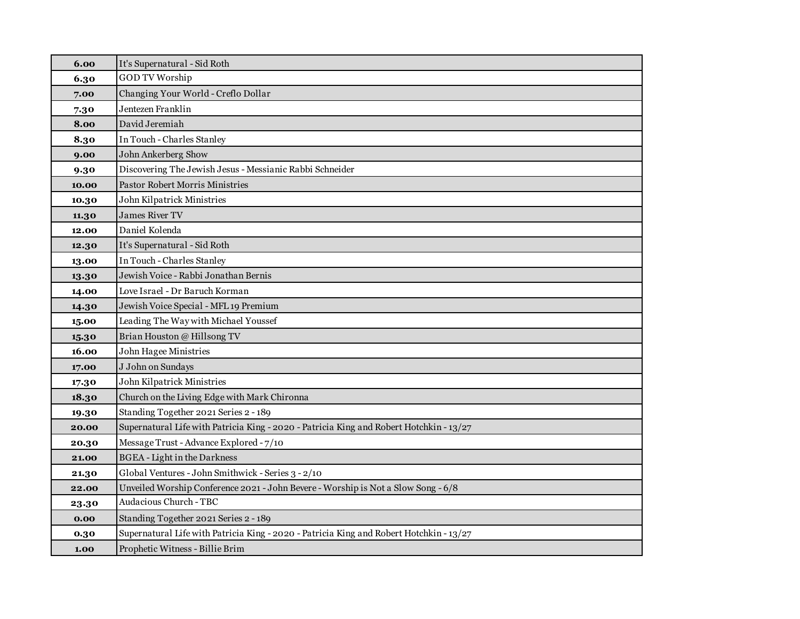| 6.00  | It's Supernatural - Sid Roth                                                            |
|-------|-----------------------------------------------------------------------------------------|
| 6.30  | <b>GOD TV Worship</b>                                                                   |
| 7.00  | Changing Your World - Creflo Dollar                                                     |
| 7.30  | Jentezen Franklin                                                                       |
| 8.00  | David Jeremiah                                                                          |
| 8.30  | In Touch - Charles Stanley                                                              |
| 9.00  | John Ankerberg Show                                                                     |
| 9.30  | Discovering The Jewish Jesus - Messianic Rabbi Schneider                                |
| 10.00 | Pastor Robert Morris Ministries                                                         |
| 10.30 | John Kilpatrick Ministries                                                              |
| 11.30 | <b>James River TV</b>                                                                   |
| 12.00 | Daniel Kolenda                                                                          |
| 12.30 | It's Supernatural - Sid Roth                                                            |
| 13.00 | In Touch - Charles Stanley                                                              |
| 13.30 | Jewish Voice - Rabbi Jonathan Bernis                                                    |
| 14.00 | Love Israel - Dr Baruch Korman                                                          |
| 14.30 | Jewish Voice Special - MFL 19 Premium                                                   |
| 15.00 | Leading The Way with Michael Youssef                                                    |
| 15.30 | Brian Houston @ Hillsong TV                                                             |
| 16.00 | John Hagee Ministries                                                                   |
| 17.00 | J John on Sundays                                                                       |
| 17.30 | John Kilpatrick Ministries                                                              |
| 18.30 | Church on the Living Edge with Mark Chironna                                            |
| 19.30 | Standing Together 2021 Series 2 - 189                                                   |
| 20.00 | Supernatural Life with Patricia King - 2020 - Patricia King and Robert Hotchkin - 13/27 |
| 20.30 | Message Trust - Advance Explored - 7/10                                                 |
| 21.00 | <b>BGEA</b> - Light in the Darkness                                                     |
| 21.30 | Global Ventures - John Smithwick - Series 3 - 2/10                                      |
| 22.00 | Unveiled Worship Conference 2021 - John Bevere - Worship is Not a Slow Song - 6/8       |
| 23.30 | Audacious Church - TBC                                                                  |
| 0.00  | Standing Together 2021 Series 2 - 189                                                   |
| 0.30  | Supernatural Life with Patricia King - 2020 - Patricia King and Robert Hotchkin - 13/27 |
| 1.00  | Prophetic Witness - Billie Brim                                                         |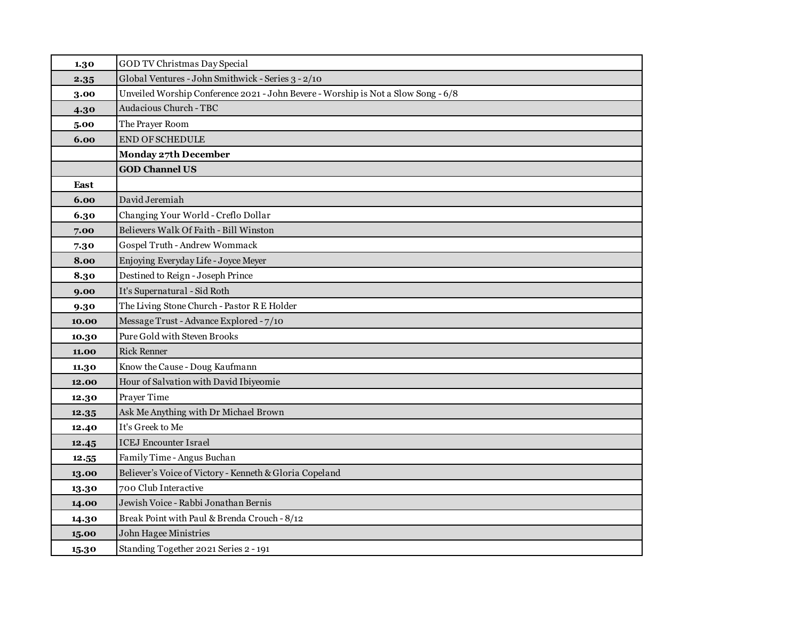| 1.30  | GOD TV Christmas Day Special                                                      |
|-------|-----------------------------------------------------------------------------------|
| 2.35  | Global Ventures - John Smithwick - Series 3 - 2/10                                |
| 3.00  | Unveiled Worship Conference 2021 - John Bevere - Worship is Not a Slow Song - 6/8 |
| 4.30  | <b>Audacious Church - TBC</b>                                                     |
| 5.00  | The Prayer Room                                                                   |
| 6.00  | <b>END OF SCHEDULE</b>                                                            |
|       | Monday 27th December                                                              |
|       | <b>GOD Channel US</b>                                                             |
| East  |                                                                                   |
| 6.00  | David Jeremiah                                                                    |
| 6.30  | Changing Your World - Creflo Dollar                                               |
| 7.00  | Believers Walk Of Faith - Bill Winston                                            |
| 7.30  | Gospel Truth - Andrew Wommack                                                     |
| 8.00  | Enjoying Everyday Life - Joyce Meyer                                              |
| 8.30  | Destined to Reign - Joseph Prince                                                 |
| 9.00  | It's Supernatural - Sid Roth                                                      |
| 9.30  | The Living Stone Church - Pastor R E Holder                                       |
| 10.00 | Message Trust - Advance Explored - 7/10                                           |
| 10.30 | Pure Gold with Steven Brooks                                                      |
| 11.00 | <b>Rick Renner</b>                                                                |
| 11.30 | Know the Cause - Doug Kaufmann                                                    |
| 12.00 | Hour of Salvation with David Ibiyeomie                                            |
| 12.30 | Prayer Time                                                                       |
| 12.35 | Ask Me Anything with Dr Michael Brown                                             |
| 12.40 | It's Greek to Me                                                                  |
| 12.45 | <b>ICEJ</b> Encounter Israel                                                      |
| 12.55 | Family Time - Angus Buchan                                                        |
| 13.00 | Believer's Voice of Victory - Kenneth & Gloria Copeland                           |
| 13.30 | 700 Club Interactive                                                              |
| 14.00 | Jewish Voice - Rabbi Jonathan Bernis                                              |
| 14.30 | Break Point with Paul & Brenda Crouch - 8/12                                      |
| 15.00 | John Hagee Ministries                                                             |
| 15.30 | Standing Together 2021 Series 2 - 191                                             |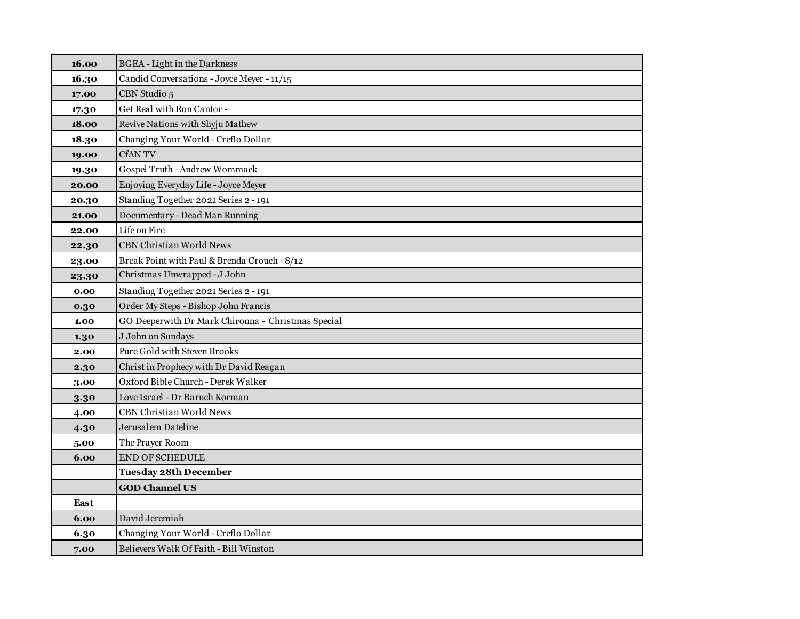| 16.00 | <b>BGEA</b> - Light in the Darkness                |
|-------|----------------------------------------------------|
| 16.30 | Candid Conversations - Joyce Meyer - 11/15         |
| 17.00 | CBN Studio 5                                       |
| 17.30 | Get Real with Ron Cantor -                         |
| 18.00 | Revive Nations with Shyju Mathew                   |
| 18.30 | Changing Your World - Creflo Dollar                |
| 19.00 | <b>CfANTV</b>                                      |
| 19.30 | Gospel Truth - Andrew Wommack                      |
| 20.00 | Enjoying Everyday Life - Joyce Meyer               |
| 20.30 | Standing Together 2021 Series 2 - 191              |
| 21.00 | Documentary - Dead Man Running                     |
| 22.00 | Life on Fire                                       |
| 22.30 | <b>CBN Christian World News</b>                    |
| 23.00 | Break Point with Paul & Brenda Crouch - 8/12       |
| 23.30 | Christmas Unwrapped - J John                       |
| 0.00  | Standing Together 2021 Series 2 - 191              |
| 0.30  | Order My Steps - Bishop John Francis               |
| 1.00  | GO Deeperwith Dr Mark Chironna - Christmas Special |
| 1.30  | J John on Sundays                                  |
| 2.00  | Pure Gold with Steven Brooks                       |
| 2.30  | Christ in Prophecy with Dr David Reagan            |
| 3.00  | Oxford Bible Church - Derek Walker                 |
| 3.30  | Love Israel - Dr Baruch Korman                     |
| 4.00  | <b>CBN Christian World News</b>                    |
| 4.30  | Jerusalem Dateline                                 |
| 5.00  | The Prayer Room                                    |
| 6.00  | <b>END OF SCHEDULE</b>                             |
|       | <b>Tuesday 28th December</b>                       |
|       | <b>GOD Channel US</b>                              |
| East  |                                                    |
| 6.00  | David Jeremiah                                     |
| 6.30  | Changing Your World - Creflo Dollar                |
| 7.00  | Believers Walk Of Faith - Bill Winston             |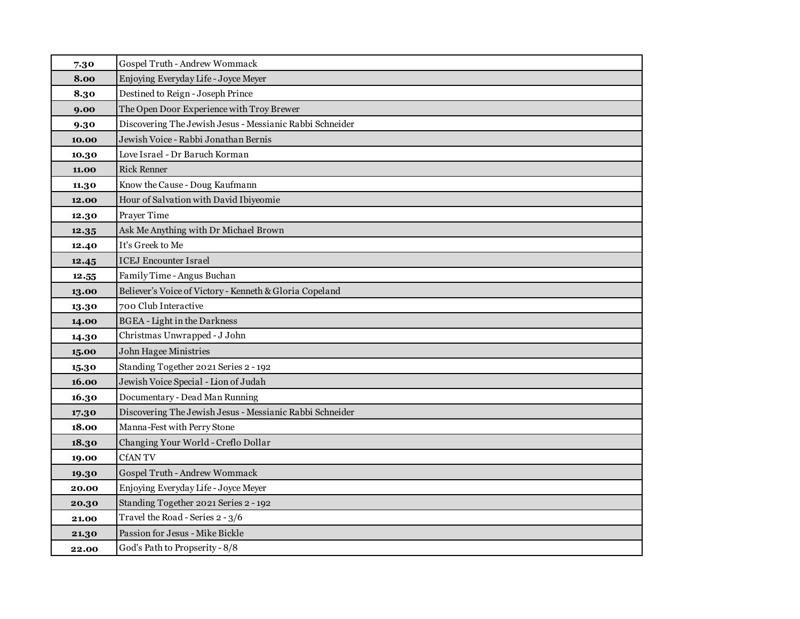| 7.30  | Gospel Truth - Andrew Wommack                            |
|-------|----------------------------------------------------------|
| 8.00  | Enjoying Everyday Life - Joyce Meyer                     |
| 8.30  | Destined to Reign - Joseph Prince                        |
| 9.00  | The Open Door Experience with Troy Brewer                |
| 9.30  | Discovering The Jewish Jesus - Messianic Rabbi Schneider |
| 10.00 | Jewish Voice - Rabbi Jonathan Bernis                     |
| 10.30 | Love Israel - Dr Baruch Korman                           |
| 11.00 | <b>Rick Renner</b>                                       |
| 11.30 | Know the Cause - Doug Kaufmann                           |
| 12.00 | Hour of Salvation with David Ibiyeomie                   |
| 12.30 | Prayer Time                                              |
| 12.35 | Ask Me Anything with Dr Michael Brown                    |
| 12.40 | It's Greek to Me                                         |
| 12.45 | <b>ICEJ</b> Encounter Israel                             |
| 12.55 | Family Time - Angus Buchan                               |
| 13.00 | Believer's Voice of Victory - Kenneth & Gloria Copeland  |
| 13.30 | 700 Club Interactive                                     |
| 14.00 | <b>BGEA</b> - Light in the Darkness                      |
| 14.30 | Christmas Unwrapped - J John                             |
| 15.00 | <b>John Hagee Ministries</b>                             |
| 15.30 | Standing Together 2021 Series 2 - 192                    |
| 16.00 | Jewish Voice Special - Lion of Judah                     |
| 16.30 | Documentary - Dead Man Running                           |
| 17.30 | Discovering The Jewish Jesus - Messianic Rabbi Schneider |
| 18.00 | Manna-Fest with Perry Stone                              |
| 18.30 | Changing Your World - Creflo Dollar                      |
| 19.00 | <b>CfANTV</b>                                            |
| 19.30 | Gospel Truth - Andrew Wommack                            |
| 20.00 | Enjoying Everyday Life - Joyce Meyer                     |
| 20.30 | Standing Together 2021 Series 2 - 192                    |
| 21.00 | Travel the Road - Series 2 - 3/6                         |
| 21.30 | Passion for Jesus - Mike Bickle                          |
| 22.00 | God's Path to Propserity - 8/8                           |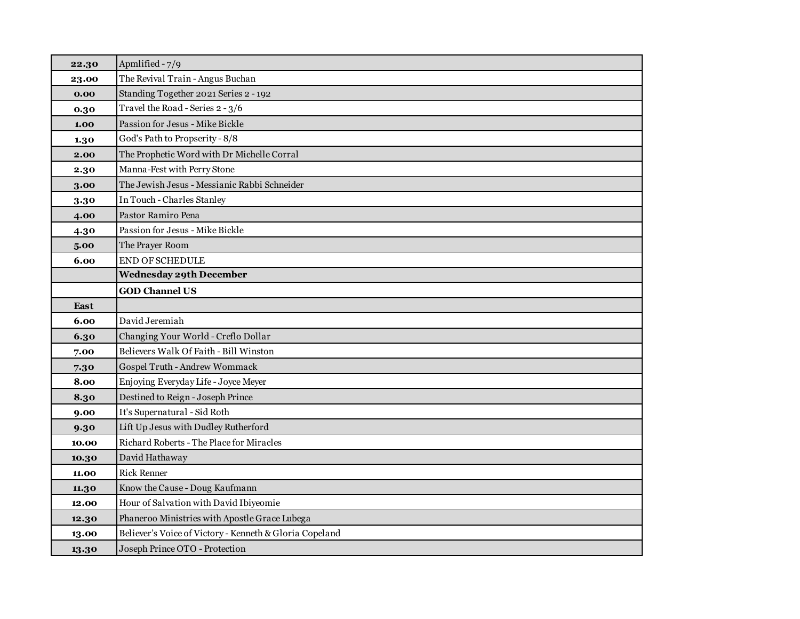| 22.30 | Apmlified - 7/9                                         |
|-------|---------------------------------------------------------|
| 23.00 | The Revival Train - Angus Buchan                        |
| 0.00  | Standing Together 2021 Series 2 - 192                   |
| 0.30  | Travel the Road - Series 2 - 3/6                        |
| 1.00  | Passion for Jesus - Mike Bickle                         |
| 1.30  | God's Path to Propserity - 8/8                          |
| 2.00  | The Prophetic Word with Dr Michelle Corral              |
| 2.30  | Manna-Fest with Perry Stone                             |
| 3.00  | The Jewish Jesus - Messianic Rabbi Schneider            |
| 3.30  | In Touch - Charles Stanley                              |
| 4.00  | Pastor Ramiro Pena                                      |
| 4.30  | Passion for Jesus - Mike Bickle                         |
| 5.00  | The Prayer Room                                         |
| 6.00  | <b>END OF SCHEDULE</b>                                  |
|       | <b>Wednesday 29th December</b>                          |
|       | <b>GOD Channel US</b>                                   |
| East  |                                                         |
| 6.00  | David Jeremiah                                          |
| 6.30  | Changing Your World - Creflo Dollar                     |
| 7.00  | Believers Walk Of Faith - Bill Winston                  |
| 7.30  | Gospel Truth - Andrew Wommack                           |
| 8.00  | Enjoying Everyday Life - Joyce Meyer                    |
| 8.30  | Destined to Reign - Joseph Prince                       |
| 9.00  | It's Supernatural - Sid Roth                            |
| 9.30  | Lift Up Jesus with Dudley Rutherford                    |
| 10.00 | Richard Roberts - The Place for Miracles                |
| 10.30 | David Hathaway                                          |
| 11.00 | <b>Rick Renner</b>                                      |
| 11.30 | Know the Cause - Doug Kaufmann                          |
| 12.00 | Hour of Salvation with David Ibiyeomie                  |
| 12.30 | Phaneroo Ministries with Apostle Grace Lubega           |
| 13.00 | Believer's Voice of Victory - Kenneth & Gloria Copeland |
| 13.30 | Joseph Prince OTO - Protection                          |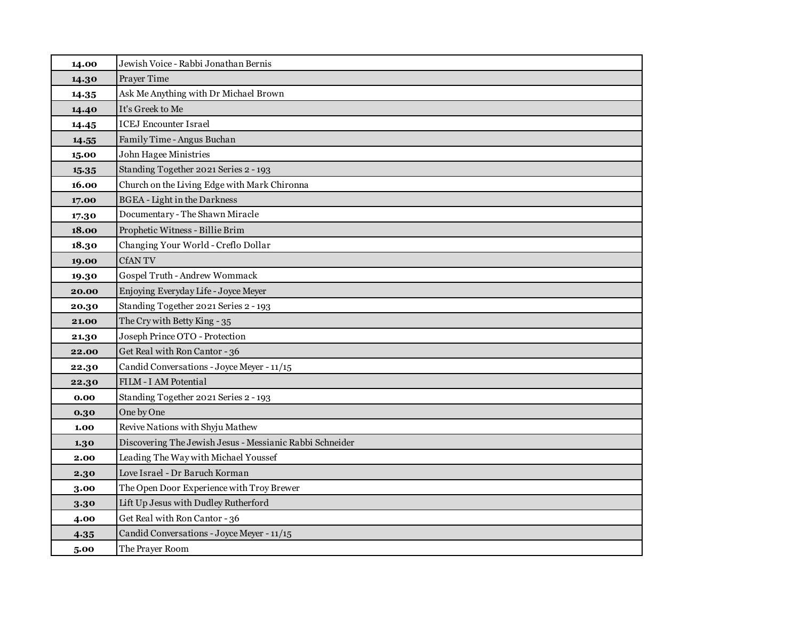| 14.00 | Jewish Voice - Rabbi Jonathan Bernis                     |
|-------|----------------------------------------------------------|
| 14.30 | Prayer Time                                              |
| 14.35 | Ask Me Anything with Dr Michael Brown                    |
| 14.40 | It's Greek to Me                                         |
| 14.45 | <b>ICEJ Encounter Israel</b>                             |
| 14.55 | Family Time - Angus Buchan                               |
| 15.00 | John Hagee Ministries                                    |
| 15.35 | Standing Together 2021 Series 2 - 193                    |
| 16.00 | Church on the Living Edge with Mark Chironna             |
| 17.00 | <b>BGEA</b> - Light in the Darkness                      |
| 17.30 | Documentary - The Shawn Miracle                          |
| 18.00 | Prophetic Witness - Billie Brim                          |
| 18.30 | Changing Your World - Creflo Dollar                      |
| 19.00 | <b>CfANTV</b>                                            |
| 19.30 | Gospel Truth - Andrew Wommack                            |
| 20.00 | Enjoying Everyday Life - Joyce Meyer                     |
| 20.30 | Standing Together 2021 Series 2 - 193                    |
| 21.00 | The Cry with Betty King - 35                             |
| 21.30 | Joseph Prince OTO - Protection                           |
| 22.00 | Get Real with Ron Cantor - 36                            |
| 22.30 | Candid Conversations - Joyce Meyer - 11/15               |
| 22.30 | FILM - I AM Potential                                    |
| 0.00  | Standing Together 2021 Series 2 - 193                    |
| 0.30  | One by One                                               |
| 1.00  | Revive Nations with Shyju Mathew                         |
| 1.30  | Discovering The Jewish Jesus - Messianic Rabbi Schneider |
| 2.00  | Leading The Way with Michael Youssef                     |
| 2.30  | Love Israel - Dr Baruch Korman                           |
| 3.00  | The Open Door Experience with Troy Brewer                |
| 3.30  | Lift Up Jesus with Dudley Rutherford                     |
| 4.00  | Get Real with Ron Cantor - 36                            |
| 4.35  | Candid Conversations - Joyce Meyer - 11/15               |
| 5.00  | The Prayer Room                                          |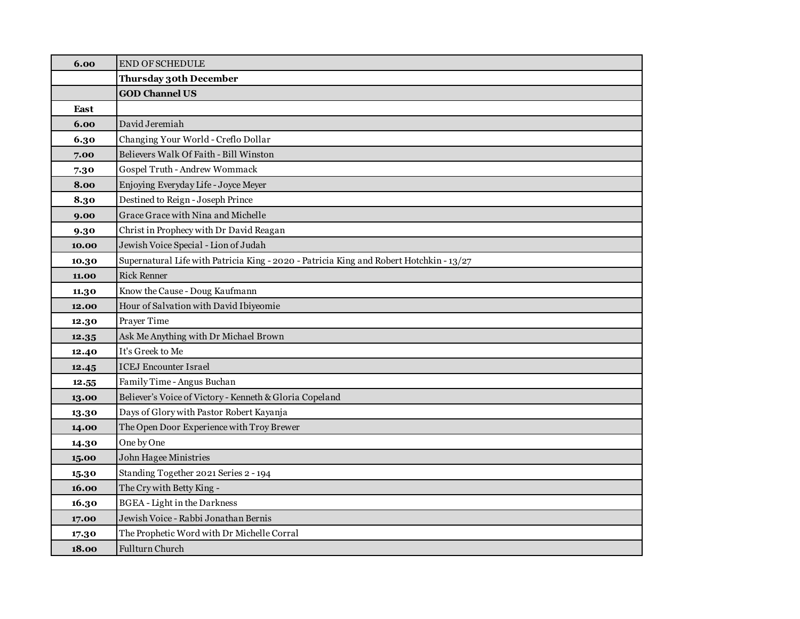| 6.00  | <b>END OF SCHEDULE</b>                                                                  |
|-------|-----------------------------------------------------------------------------------------|
|       | <b>Thursday 30th December</b>                                                           |
|       | <b>GOD Channel US</b>                                                                   |
| East  |                                                                                         |
| 6.00  | David Jeremiah                                                                          |
| 6.30  | Changing Your World - Creflo Dollar                                                     |
| 7.00  | Believers Walk Of Faith - Bill Winston                                                  |
| 7.30  | Gospel Truth - Andrew Wommack                                                           |
| 8.00  | Enjoying Everyday Life - Joyce Meyer                                                    |
| 8.30  | Destined to Reign - Joseph Prince                                                       |
| 9.00  | Grace Grace with Nina and Michelle                                                      |
| 9.30  | Christ in Prophecy with Dr David Reagan                                                 |
| 10.00 | Jewish Voice Special - Lion of Judah                                                    |
| 10.30 | Supernatural Life with Patricia King - 2020 - Patricia King and Robert Hotchkin - 13/27 |
| 11.00 | <b>Rick Renner</b>                                                                      |
| 11.30 | Know the Cause - Doug Kaufmann                                                          |
| 12.00 | Hour of Salvation with David Ibiyeomie                                                  |
| 12.30 | Prayer Time                                                                             |
| 12.35 | Ask Me Anything with Dr Michael Brown                                                   |
| 12.40 | It's Greek to Me                                                                        |
| 12.45 | <b>ICEJ Encounter Israel</b>                                                            |
| 12.55 | Family Time - Angus Buchan                                                              |
| 13.00 | Believer's Voice of Victory - Kenneth & Gloria Copeland                                 |
| 13.30 | Days of Glory with Pastor Robert Kayanja                                                |
| 14.00 | The Open Door Experience with Troy Brewer                                               |
| 14.30 | One by One                                                                              |
| 15.00 | John Hagee Ministries                                                                   |
| 15.30 | Standing Together 2021 Series 2 - 194                                                   |
| 16.00 | The Cry with Betty King -                                                               |
| 16.30 | <b>BGEA</b> - Light in the Darkness                                                     |
| 17.00 | Jewish Voice - Rabbi Jonathan Bernis                                                    |
| 17.30 | The Prophetic Word with Dr Michelle Corral                                              |
| 18.00 | Fullturn Church                                                                         |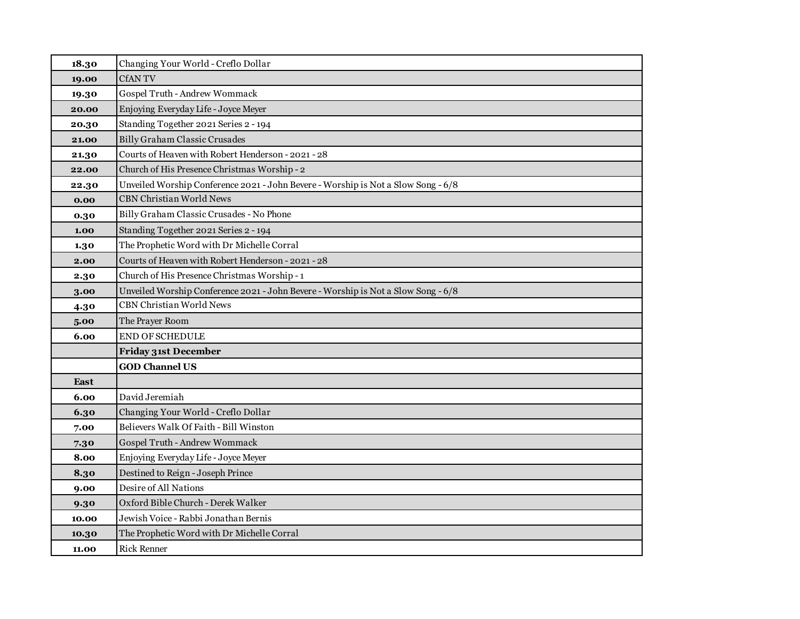| 18.30 | Changing Your World - Creflo Dollar                                               |
|-------|-----------------------------------------------------------------------------------|
| 19.00 | <b>CfANTV</b>                                                                     |
| 19.30 | Gospel Truth - Andrew Wommack                                                     |
| 20.00 | Enjoying Everyday Life - Joyce Meyer                                              |
| 20.30 | Standing Together 2021 Series 2 - 194                                             |
| 21.00 | Billy Graham Classic Crusades                                                     |
| 21.30 | Courts of Heaven with Robert Henderson - 2021 - 28                                |
| 22.00 | Church of His Presence Christmas Worship - 2                                      |
| 22.30 | Unveiled Worship Conference 2021 - John Bevere - Worship is Not a Slow Song - 6/8 |
| 0.00  | <b>CBN Christian World News</b>                                                   |
| 0.30  | Billy Graham Classic Crusades - No Phone                                          |
| 1.00  | Standing Together 2021 Series 2 - 194                                             |
| 1.30  | The Prophetic Word with Dr Michelle Corral                                        |
| 2.00  | Courts of Heaven with Robert Henderson - 2021 - 28                                |
| 2.30  | Church of His Presence Christmas Worship - 1                                      |
| 3.00  | Unveiled Worship Conference 2021 - John Bevere - Worship is Not a Slow Song - 6/8 |
| 4.30  | <b>CBN Christian World News</b>                                                   |
| 5.00  | The Prayer Room                                                                   |
| 6.00  | <b>END OF SCHEDULE</b>                                                            |
|       | <b>Friday 31st December</b>                                                       |
|       | <b>GOD Channel US</b>                                                             |
| East  |                                                                                   |
| 6.00  | David Jeremiah                                                                    |
| 6.30  | Changing Your World - Creflo Dollar                                               |
| 7.00  | Believers Walk Of Faith - Bill Winston                                            |
| 7.30  | Gospel Truth - Andrew Wommack                                                     |
| 8.00  | Enjoying Everyday Life - Joyce Meyer                                              |
| 8.30  | Destined to Reign - Joseph Prince                                                 |
| 9.00  | Desire of All Nations                                                             |
| 9.30  | Oxford Bible Church - Derek Walker                                                |
| 10.00 | Jewish Voice - Rabbi Jonathan Bernis                                              |
| 10.30 | The Prophetic Word with Dr Michelle Corral                                        |
| 11.00 | <b>Rick Renner</b>                                                                |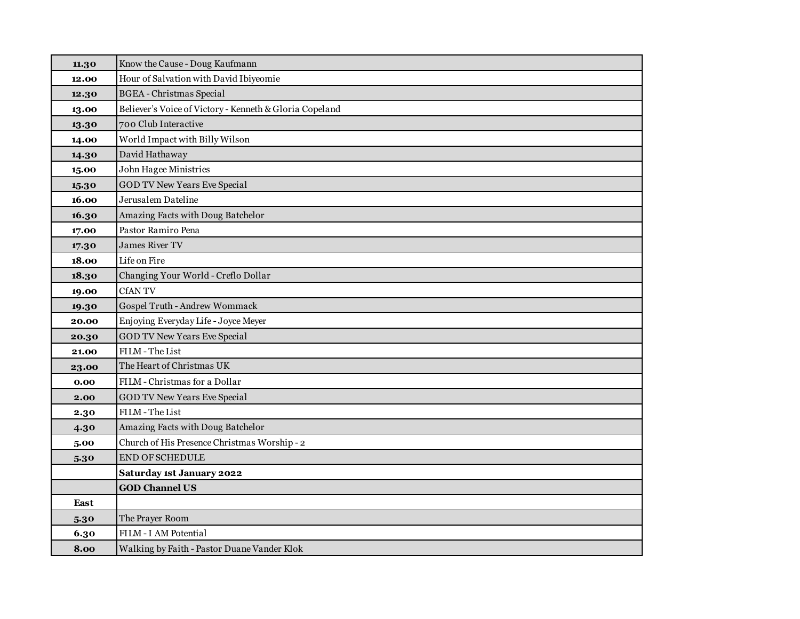| 11.30 | Know the Cause - Doug Kaufmann                          |
|-------|---------------------------------------------------------|
| 12.00 | Hour of Salvation with David Ibiyeomie                  |
| 12.30 | <b>BGEA</b> - Christmas Special                         |
| 13.00 | Believer's Voice of Victory - Kenneth & Gloria Copeland |
| 13.30 | 700 Club Interactive                                    |
| 14.00 | World Impact with Billy Wilson                          |
| 14.30 | David Hathaway                                          |
| 15.00 | <b>John Hagee Ministries</b>                            |
| 15.30 | <b>GOD TV New Years Eve Special</b>                     |
| 16.00 | Jerusalem Dateline                                      |
| 16.30 | Amazing Facts with Doug Batchelor                       |
| 17.00 | Pastor Ramiro Pena                                      |
| 17.30 | <b>James River TV</b>                                   |
| 18.00 | Life on Fire                                            |
| 18.30 | Changing Your World - Creflo Dollar                     |
| 19.00 | CfAN TV                                                 |
| 19.30 | Gospel Truth - Andrew Wommack                           |
| 20.00 | Enjoying Everyday Life - Joyce Meyer                    |
| 20.30 | <b>GOD TV New Years Eve Special</b>                     |
| 21.00 | FILM - The List                                         |
| 23.00 | The Heart of Christmas UK                               |
| 0.00  | FILM - Christmas for a Dollar                           |
| 2.00  | <b>GOD TV New Years Eve Special</b>                     |
| 2.30  | FILM - The List                                         |
| 4.30  | Amazing Facts with Doug Batchelor                       |
| 5.00  | Church of His Presence Christmas Worship - 2            |
| 5.30  | <b>END OF SCHEDULE</b>                                  |
|       | Saturday 1st January 2022                               |
|       | <b>GOD Channel US</b>                                   |
| East  |                                                         |
| 5.30  | The Prayer Room                                         |
| 6.30  | FILM - I AM Potential                                   |
| 8.00  | Walking by Faith - Pastor Duane Vander Klok             |